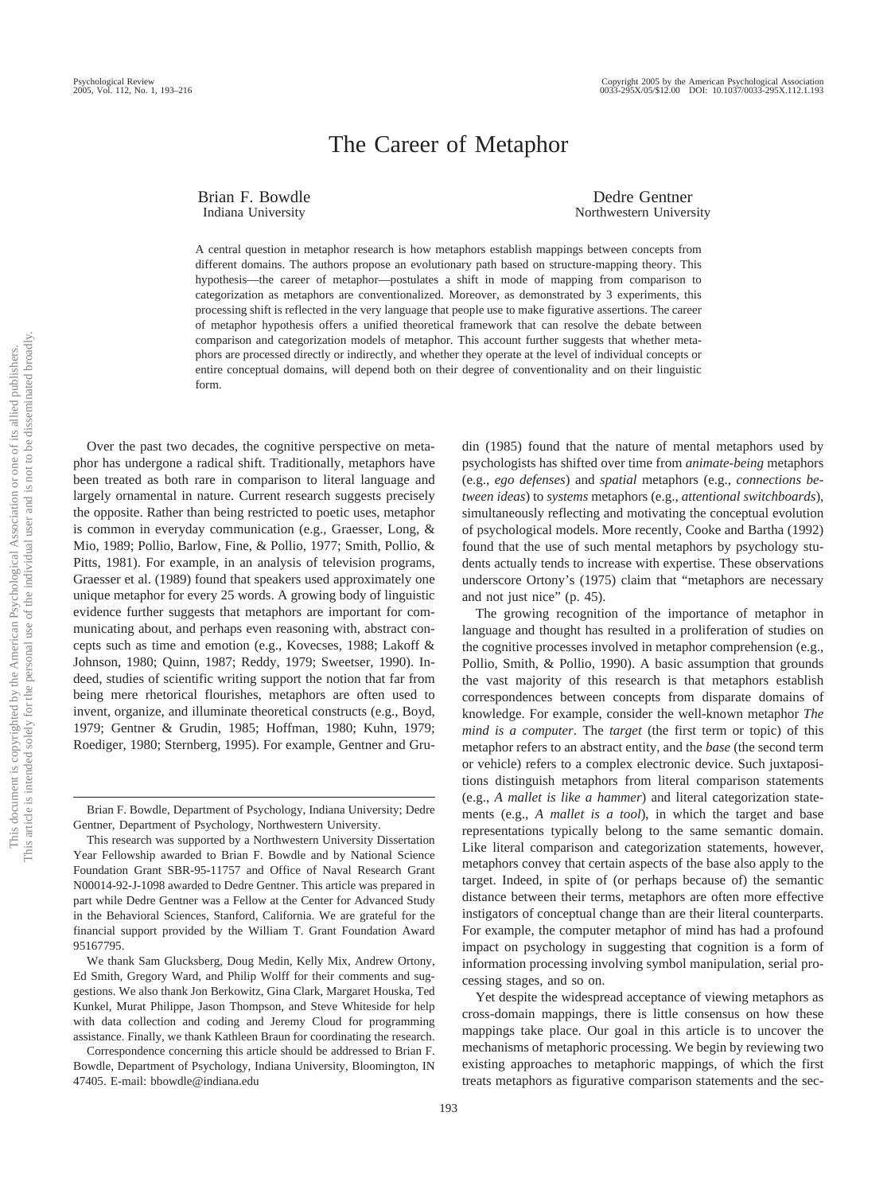# The Career of Metaphor

Brian F. Bowdle Indiana University

Dedre Gentner Northwestern University

A central question in metaphor research is how metaphors establish mappings between concepts from different domains. The authors propose an evolutionary path based on structure-mapping theory. This hypothesis—the career of metaphor—postulates a shift in mode of mapping from comparison to categorization as metaphors are conventionalized. Moreover, as demonstrated by 3 experiments, this processing shift is reflected in the very language that people use to make figurative assertions. The career of metaphor hypothesis offers a unified theoretical framework that can resolve the debate between comparison and categorization models of metaphor. This account further suggests that whether metaphors are processed directly or indirectly, and whether they operate at the level of individual concepts or entire conceptual domains, will depend both on their degree of conventionality and on their linguistic form.

Over the past two decades, the cognitive perspective on metaphor has undergone a radical shift. Traditionally, metaphors have been treated as both rare in comparison to literal language and largely ornamental in nature. Current research suggests precisely the opposite. Rather than being restricted to poetic uses, metaphor is common in everyday communication (e.g., Graesser, Long, & Mio, 1989; Pollio, Barlow, Fine, & Pollio, 1977; Smith, Pollio, & Pitts, 1981). For example, in an analysis of television programs, Graesser et al. (1989) found that speakers used approximately one unique metaphor for every 25 words. A growing body of linguistic evidence further suggests that metaphors are important for communicating about, and perhaps even reasoning with, abstract concepts such as time and emotion (e.g., Kovecses, 1988; Lakoff & Johnson, 1980; Quinn, 1987; Reddy, 1979; Sweetser, 1990). Indeed, studies of scientific writing support the notion that far from being mere rhetorical flourishes, metaphors are often used to invent, organize, and illuminate theoretical constructs (e.g., Boyd, 1979; Gentner & Grudin, 1985; Hoffman, 1980; Kuhn, 1979; Roediger, 1980; Sternberg, 1995). For example, Gentner and Grudin (1985) found that the nature of mental metaphors used by psychologists has shifted over time from *animate-being* metaphors (e.g., *ego defenses*) and *spatial* metaphors (e.g., *connections between ideas*) to *systems* metaphors (e.g., *attentional switchboards*), simultaneously reflecting and motivating the conceptual evolution of psychological models. More recently, Cooke and Bartha (1992) found that the use of such mental metaphors by psychology students actually tends to increase with expertise. These observations underscore Ortony's (1975) claim that "metaphors are necessary and not just nice" (p. 45).

The growing recognition of the importance of metaphor in language and thought has resulted in a proliferation of studies on the cognitive processes involved in metaphor comprehension (e.g., Pollio, Smith, & Pollio, 1990). A basic assumption that grounds the vast majority of this research is that metaphors establish correspondences between concepts from disparate domains of knowledge. For example, consider the well-known metaphor *The mind is a computer*. The *target* (the first term or topic) of this metaphor refers to an abstract entity, and the *base* (the second term or vehicle) refers to a complex electronic device. Such juxtapositions distinguish metaphors from literal comparison statements (e.g., *A mallet is like a hammer*) and literal categorization statements (e.g., *A mallet is a tool*), in which the target and base representations typically belong to the same semantic domain. Like literal comparison and categorization statements, however, metaphors convey that certain aspects of the base also apply to the target. Indeed, in spite of (or perhaps because of) the semantic distance between their terms, metaphors are often more effective instigators of conceptual change than are their literal counterparts. For example, the computer metaphor of mind has had a profound impact on psychology in suggesting that cognition is a form of information processing involving symbol manipulation, serial processing stages, and so on.

Yet despite the widespread acceptance of viewing metaphors as cross-domain mappings, there is little consensus on how these mappings take place. Our goal in this article is to uncover the mechanisms of metaphoric processing. We begin by reviewing two existing approaches to metaphoric mappings, of which the first treats metaphors as figurative comparison statements and the sec-

Brian F. Bowdle, Department of Psychology, Indiana University; Dedre Gentner, Department of Psychology, Northwestern University.

This research was supported by a Northwestern University Dissertation Year Fellowship awarded to Brian F. Bowdle and by National Science Foundation Grant SBR-95-11757 and Office of Naval Research Grant N00014-92-J-1098 awarded to Dedre Gentner. This article was prepared in part while Dedre Gentner was a Fellow at the Center for Advanced Study in the Behavioral Sciences, Stanford, California. We are grateful for the financial support provided by the William T. Grant Foundation Award 95167795.

We thank Sam Glucksberg, Doug Medin, Kelly Mix, Andrew Ortony, Ed Smith, Gregory Ward, and Philip Wolff for their comments and suggestions. We also thank Jon Berkowitz, Gina Clark, Margaret Houska, Ted Kunkel, Murat Philippe, Jason Thompson, and Steve Whiteside for help with data collection and coding and Jeremy Cloud for programming assistance. Finally, we thank Kathleen Braun for coordinating the research.

Correspondence concerning this article should be addressed to Brian F. Bowdle, Department of Psychology, Indiana University, Bloomington, IN 47405. E-mail: bbowdle@indiana.edu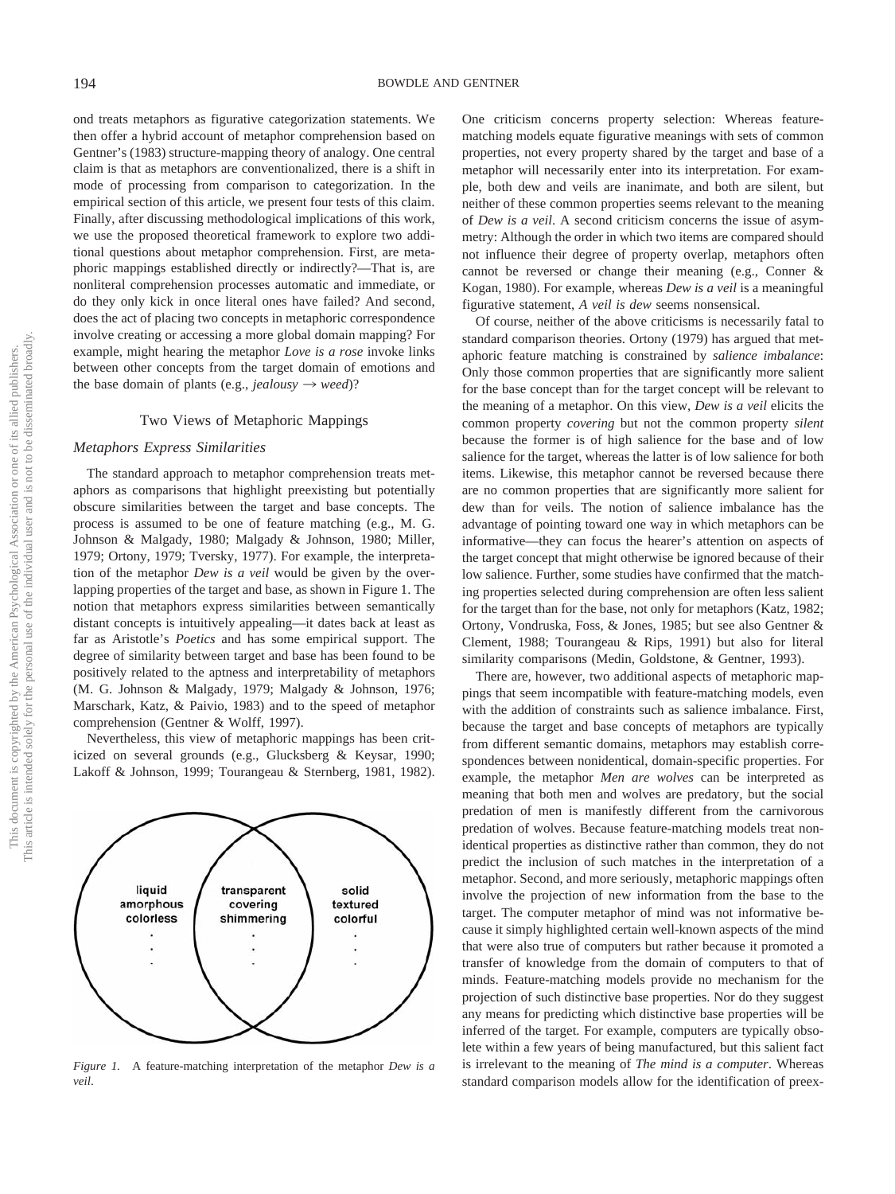ond treats metaphors as figurative categorization statements. We then offer a hybrid account of metaphor comprehension based on Gentner's (1983) structure-mapping theory of analogy. One central claim is that as metaphors are conventionalized, there is a shift in mode of processing from comparison to categorization. In the empirical section of this article, we present four tests of this claim. Finally, after discussing methodological implications of this work, we use the proposed theoretical framework to explore two additional questions about metaphor comprehension. First, are metaphoric mappings established directly or indirectly?—That is, are nonliteral comprehension processes automatic and immediate, or do they only kick in once literal ones have failed? And second, does the act of placing two concepts in metaphoric correspondence involve creating or accessing a more global domain mapping? For example, might hearing the metaphor *Love is a rose* invoke links between other concepts from the target domain of emotions and the base domain of plants (e.g., *jealousy*  $\rightarrow$  *weed*)?

### Two Views of Metaphoric Mappings

#### *Metaphors Express Similarities*

The standard approach to metaphor comprehension treats metaphors as comparisons that highlight preexisting but potentially obscure similarities between the target and base concepts. The process is assumed to be one of feature matching (e.g., M. G. Johnson & Malgady, 1980; Malgady & Johnson, 1980; Miller, 1979; Ortony, 1979; Tversky, 1977). For example, the interpretation of the metaphor *Dew is a veil* would be given by the overlapping properties of the target and base, as shown in Figure 1. The notion that metaphors express similarities between semantically distant concepts is intuitively appealing—it dates back at least as far as Aristotle's *Poetics* and has some empirical support. The degree of similarity between target and base has been found to be positively related to the aptness and interpretability of metaphors (M. G. Johnson & Malgady, 1979; Malgady & Johnson, 1976; Marschark, Katz, & Paivio, 1983) and to the speed of metaphor comprehension (Gentner & Wolff, 1997).

Nevertheless, this view of metaphoric mappings has been criticized on several grounds (e.g., Glucksberg & Keysar, 1990; Lakoff & Johnson, 1999; Tourangeau & Sternberg, 1981, 1982).



*Figure 1.* A feature-matching interpretation of the metaphor *Dew is a veil*.

One criticism concerns property selection: Whereas featurematching models equate figurative meanings with sets of common properties, not every property shared by the target and base of a metaphor will necessarily enter into its interpretation. For example, both dew and veils are inanimate, and both are silent, but neither of these common properties seems relevant to the meaning of *Dew is a veil*. A second criticism concerns the issue of asymmetry: Although the order in which two items are compared should not influence their degree of property overlap, metaphors often cannot be reversed or change their meaning (e.g., Conner & Kogan, 1980). For example, whereas *Dew is a veil* is a meaningful figurative statement, *A veil is dew* seems nonsensical.

Of course, neither of the above criticisms is necessarily fatal to standard comparison theories. Ortony (1979) has argued that metaphoric feature matching is constrained by *salience imbalance*: Only those common properties that are significantly more salient for the base concept than for the target concept will be relevant to the meaning of a metaphor. On this view, *Dew is a veil* elicits the common property *covering* but not the common property *silent* because the former is of high salience for the base and of low salience for the target, whereas the latter is of low salience for both items. Likewise, this metaphor cannot be reversed because there are no common properties that are significantly more salient for dew than for veils. The notion of salience imbalance has the advantage of pointing toward one way in which metaphors can be informative—they can focus the hearer's attention on aspects of the target concept that might otherwise be ignored because of their low salience. Further, some studies have confirmed that the matching properties selected during comprehension are often less salient for the target than for the base, not only for metaphors (Katz, 1982; Ortony, Vondruska, Foss, & Jones, 1985; but see also Gentner & Clement, 1988; Tourangeau & Rips, 1991) but also for literal similarity comparisons (Medin, Goldstone, & Gentner, 1993).

There are, however, two additional aspects of metaphoric mappings that seem incompatible with feature-matching models, even with the addition of constraints such as salience imbalance. First, because the target and base concepts of metaphors are typically from different semantic domains, metaphors may establish correspondences between nonidentical, domain-specific properties. For example, the metaphor *Men are wolves* can be interpreted as meaning that both men and wolves are predatory, but the social predation of men is manifestly different from the carnivorous predation of wolves. Because feature-matching models treat nonidentical properties as distinctive rather than common, they do not predict the inclusion of such matches in the interpretation of a metaphor. Second, and more seriously, metaphoric mappings often involve the projection of new information from the base to the target. The computer metaphor of mind was not informative because it simply highlighted certain well-known aspects of the mind that were also true of computers but rather because it promoted a transfer of knowledge from the domain of computers to that of minds. Feature-matching models provide no mechanism for the projection of such distinctive base properties. Nor do they suggest any means for predicting which distinctive base properties will be inferred of the target. For example, computers are typically obsolete within a few years of being manufactured, but this salient fact is irrelevant to the meaning of *The mind is a computer*. Whereas standard comparison models allow for the identification of preex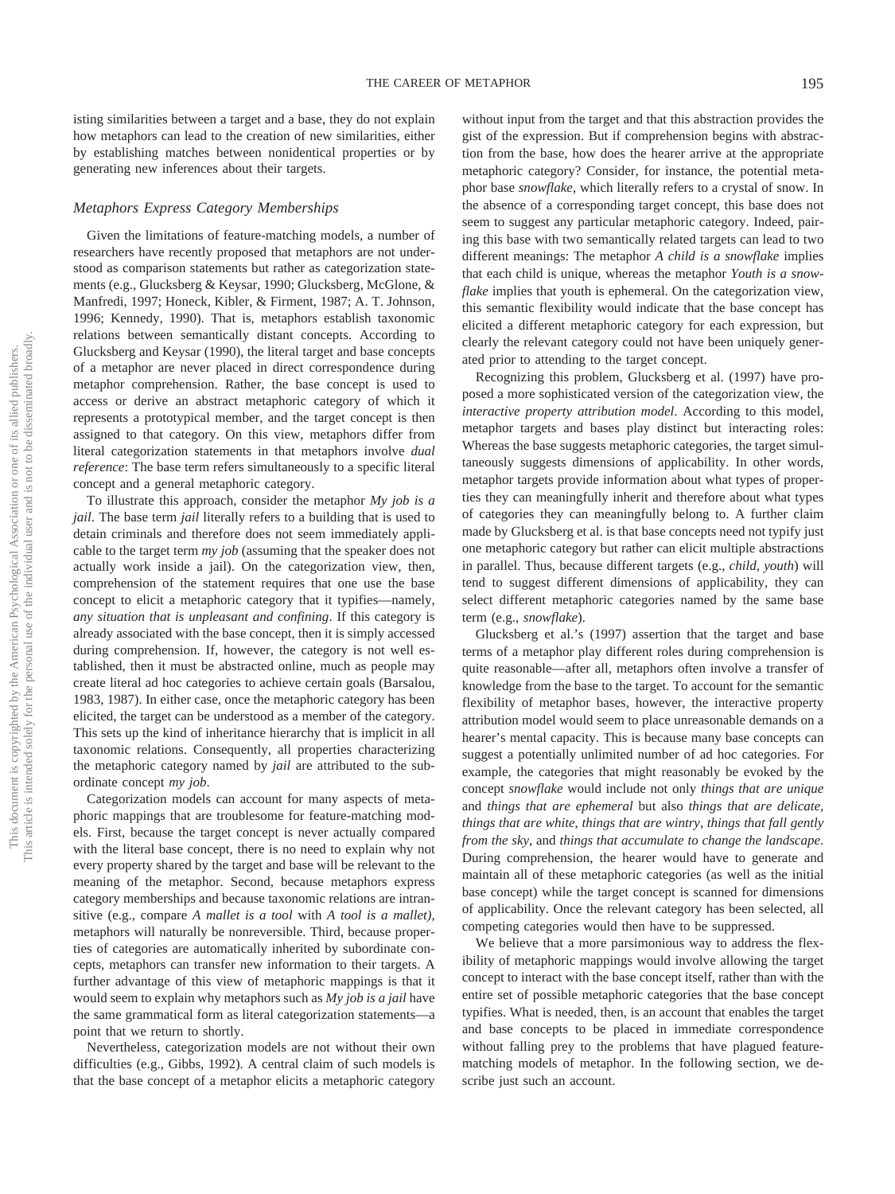isting similarities between a target and a base, they do not explain how metaphors can lead to the creation of new similarities, either by establishing matches between nonidentical properties or by generating new inferences about their targets.

### *Metaphors Express Category Memberships*

Given the limitations of feature-matching models, a number of researchers have recently proposed that metaphors are not understood as comparison statements but rather as categorization statements (e.g., Glucksberg & Keysar, 1990; Glucksberg, McGlone, & Manfredi, 1997; Honeck, Kibler, & Firment, 1987; A. T. Johnson, 1996; Kennedy, 1990). That is, metaphors establish taxonomic relations between semantically distant concepts. According to Glucksberg and Keysar (1990), the literal target and base concepts of a metaphor are never placed in direct correspondence during metaphor comprehension. Rather, the base concept is used to access or derive an abstract metaphoric category of which it represents a prototypical member, and the target concept is then assigned to that category. On this view, metaphors differ from literal categorization statements in that metaphors involve *dual reference*: The base term refers simultaneously to a specific literal concept and a general metaphoric category.

To illustrate this approach, consider the metaphor *My job is a jail*. The base term *jail* literally refers to a building that is used to detain criminals and therefore does not seem immediately applicable to the target term *my job* (assuming that the speaker does not actually work inside a jail). On the categorization view, then, comprehension of the statement requires that one use the base concept to elicit a metaphoric category that it typifies—namely, *any situation that is unpleasant and confining*. If this category is already associated with the base concept, then it is simply accessed during comprehension. If, however, the category is not well established, then it must be abstracted online, much as people may create literal ad hoc categories to achieve certain goals (Barsalou, 1983, 1987). In either case, once the metaphoric category has been elicited, the target can be understood as a member of the category. This sets up the kind of inheritance hierarchy that is implicit in all taxonomic relations. Consequently, all properties characterizing the metaphoric category named by *jail* are attributed to the subordinate concept *my job*.

Categorization models can account for many aspects of metaphoric mappings that are troublesome for feature-matching models. First, because the target concept is never actually compared with the literal base concept, there is no need to explain why not every property shared by the target and base will be relevant to the meaning of the metaphor. Second, because metaphors express category memberships and because taxonomic relations are intransitive (e.g., compare *A mallet is a tool* with *A tool is a mallet)*, metaphors will naturally be nonreversible. Third, because properties of categories are automatically inherited by subordinate concepts, metaphors can transfer new information to their targets. A further advantage of this view of metaphoric mappings is that it would seem to explain why metaphors such as *My job is a jail* have the same grammatical form as literal categorization statements—a point that we return to shortly.

Nevertheless, categorization models are not without their own difficulties (e.g., Gibbs, 1992). A central claim of such models is that the base concept of a metaphor elicits a metaphoric category

without input from the target and that this abstraction provides the gist of the expression. But if comprehension begins with abstraction from the base, how does the hearer arrive at the appropriate metaphoric category? Consider, for instance, the potential metaphor base *snowflake*, which literally refers to a crystal of snow. In the absence of a corresponding target concept, this base does not seem to suggest any particular metaphoric category. Indeed, pairing this base with two semantically related targets can lead to two different meanings: The metaphor *A child is a snowflake* implies that each child is unique, whereas the metaphor *Youth is a snowflake* implies that youth is ephemeral. On the categorization view, this semantic flexibility would indicate that the base concept has elicited a different metaphoric category for each expression, but clearly the relevant category could not have been uniquely generated prior to attending to the target concept.

Recognizing this problem, Glucksberg et al. (1997) have proposed a more sophisticated version of the categorization view, the *interactive property attribution model*. According to this model, metaphor targets and bases play distinct but interacting roles: Whereas the base suggests metaphoric categories, the target simultaneously suggests dimensions of applicability. In other words, metaphor targets provide information about what types of properties they can meaningfully inherit and therefore about what types of categories they can meaningfully belong to. A further claim made by Glucksberg et al. is that base concepts need not typify just one metaphoric category but rather can elicit multiple abstractions in parallel. Thus, because different targets (e.g., *child*, *youth*) will tend to suggest different dimensions of applicability, they can select different metaphoric categories named by the same base term (e.g., *snowflake*).

Glucksberg et al.'s (1997) assertion that the target and base terms of a metaphor play different roles during comprehension is quite reasonable—after all, metaphors often involve a transfer of knowledge from the base to the target. To account for the semantic flexibility of metaphor bases, however, the interactive property attribution model would seem to place unreasonable demands on a hearer's mental capacity. This is because many base concepts can suggest a potentially unlimited number of ad hoc categories. For example, the categories that might reasonably be evoked by the concept *snowflake* would include not only *things that are unique* and *things that are ephemeral* but also *things that are delicate*, *things that are white*, *things that are wintry*, *things that fall gently from the sky*, and *things that accumulate to change the landscape*. During comprehension, the hearer would have to generate and maintain all of these metaphoric categories (as well as the initial base concept) while the target concept is scanned for dimensions of applicability. Once the relevant category has been selected, all competing categories would then have to be suppressed.

We believe that a more parsimonious way to address the flexibility of metaphoric mappings would involve allowing the target concept to interact with the base concept itself, rather than with the entire set of possible metaphoric categories that the base concept typifies. What is needed, then, is an account that enables the target and base concepts to be placed in immediate correspondence without falling prey to the problems that have plagued featurematching models of metaphor. In the following section, we describe just such an account.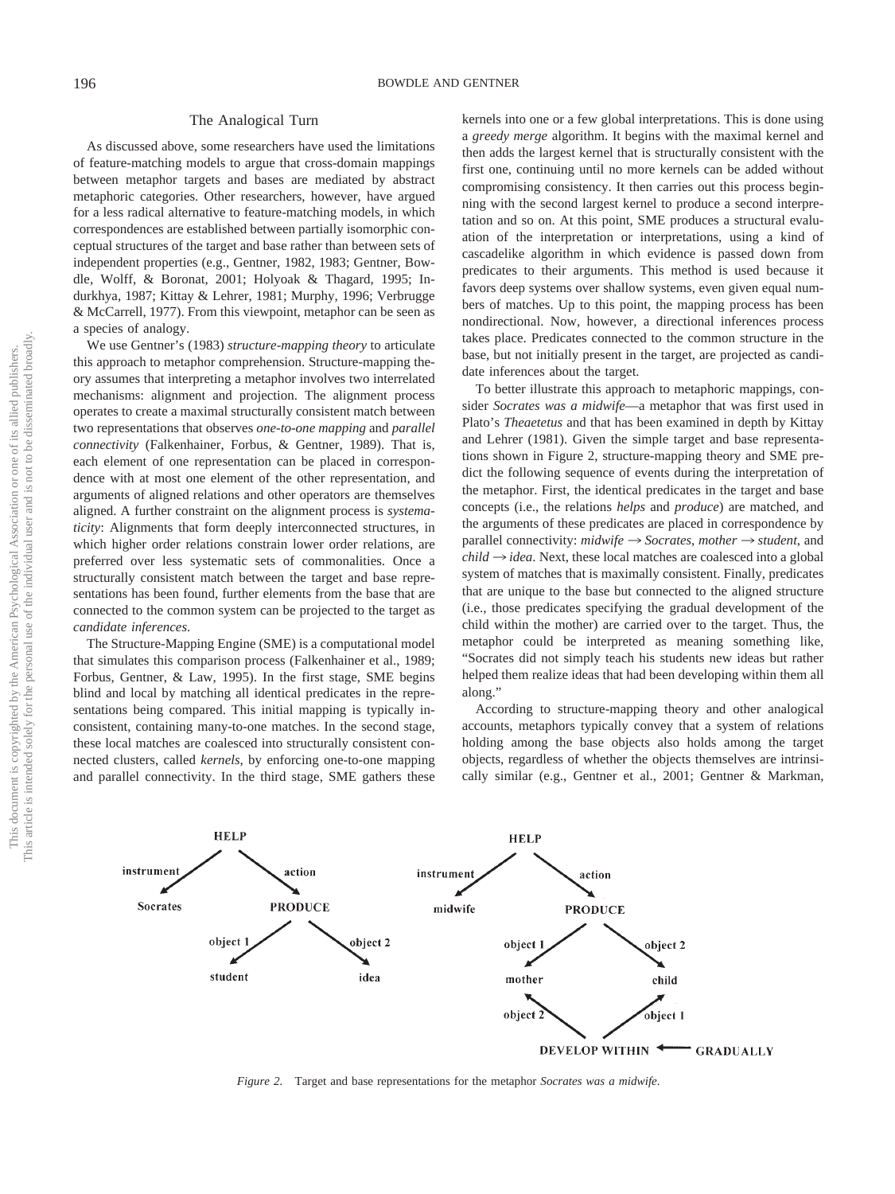# The Analogical Turn

As discussed above, some researchers have used the limitations of feature-matching models to argue that cross-domain mappings between metaphor targets and bases are mediated by abstract metaphoric categories. Other researchers, however, have argued for a less radical alternative to feature-matching models, in which correspondences are established between partially isomorphic conceptual structures of the target and base rather than between sets of independent properties (e.g., Gentner, 1982, 1983; Gentner, Bowdle, Wolff, & Boronat, 2001; Holyoak & Thagard, 1995; Indurkhya, 1987; Kittay & Lehrer, 1981; Murphy, 1996; Verbrugge & McCarrell, 1977). From this viewpoint, metaphor can be seen as a species of analogy.

We use Gentner's (1983) *structure-mapping theory* to articulate this approach to metaphor comprehension. Structure-mapping theory assumes that interpreting a metaphor involves two interrelated mechanisms: alignment and projection. The alignment process operates to create a maximal structurally consistent match between two representations that observes *one-to-one mapping* and *parallel connectivity* (Falkenhainer, Forbus, & Gentner, 1989). That is, each element of one representation can be placed in correspondence with at most one element of the other representation, and arguments of aligned relations and other operators are themselves aligned. A further constraint on the alignment process is *systematicity*: Alignments that form deeply interconnected structures, in which higher order relations constrain lower order relations, are preferred over less systematic sets of commonalities. Once a structurally consistent match between the target and base representations has been found, further elements from the base that are connected to the common system can be projected to the target as *candidate inferences*.

The Structure-Mapping Engine (SME) is a computational model that simulates this comparison process (Falkenhainer et al., 1989; Forbus, Gentner, & Law, 1995). In the first stage, SME begins blind and local by matching all identical predicates in the representations being compared. This initial mapping is typically inconsistent, containing many-to-one matches. In the second stage, these local matches are coalesced into structurally consistent connected clusters, called *kernels*, by enforcing one-to-one mapping and parallel connectivity. In the third stage, SME gathers these

kernels into one or a few global interpretations. This is done using a *greedy merge* algorithm. It begins with the maximal kernel and then adds the largest kernel that is structurally consistent with the first one, continuing until no more kernels can be added without compromising consistency. It then carries out this process beginning with the second largest kernel to produce a second interpretation and so on. At this point, SME produces a structural evaluation of the interpretation or interpretations, using a kind of cascadelike algorithm in which evidence is passed down from predicates to their arguments. This method is used because it favors deep systems over shallow systems, even given equal numbers of matches. Up to this point, the mapping process has been nondirectional. Now, however, a directional inferences process takes place. Predicates connected to the common structure in the base, but not initially present in the target, are projected as candidate inferences about the target.

To better illustrate this approach to metaphoric mappings, consider *Socrates was a midwife*—a metaphor that was first used in Plato's *Theaetetus* and that has been examined in depth by Kittay and Lehrer (1981). Given the simple target and base representations shown in Figure 2, structure-mapping theory and SME predict the following sequence of events during the interpretation of the metaphor. First, the identical predicates in the target and base concepts (i.e., the relations *helps* and *produce*) are matched, and the arguments of these predicates are placed in correspondence by parallel connectivity:  $\textit{midwrite} \rightarrow \textit{Socrates}$ ,  $\textit{mother} \rightarrow \textit{student}$ , and  $child \rightarrow idea$ . Next, these local matches are coalesced into a global system of matches that is maximally consistent. Finally, predicates that are unique to the base but connected to the aligned structure (i.e., those predicates specifying the gradual development of the child within the mother) are carried over to the target. Thus, the metaphor could be interpreted as meaning something like, "Socrates did not simply teach his students new ideas but rather helped them realize ideas that had been developing within them all along."

According to structure-mapping theory and other analogical accounts, metaphors typically convey that a system of relations holding among the base objects also holds among the target objects, regardless of whether the objects themselves are intrinsically similar (e.g., Gentner et al., 2001; Gentner & Markman,



*Figure 2.* Target and base representations for the metaphor *Socrates was a midwife*.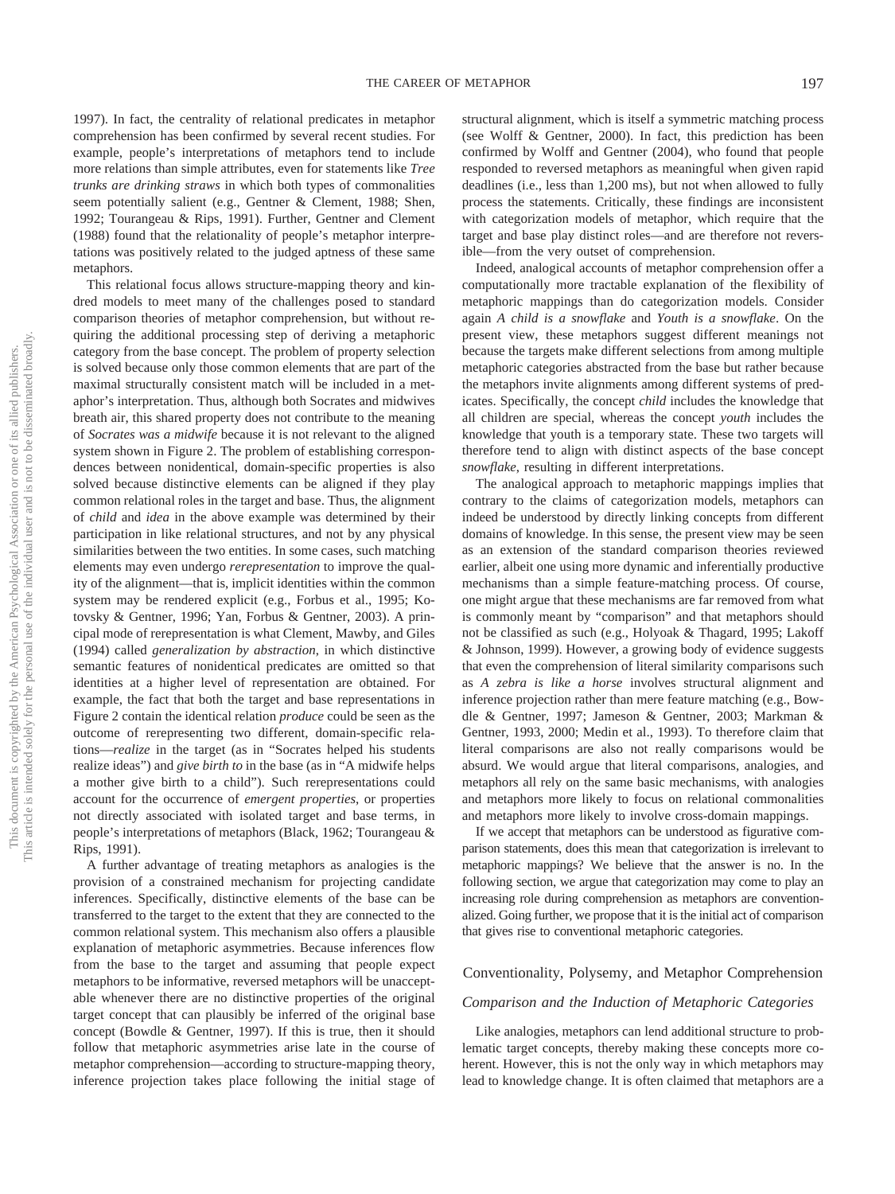1997). In fact, the centrality of relational predicates in metaphor comprehension has been confirmed by several recent studies. For example, people's interpretations of metaphors tend to include more relations than simple attributes, even for statements like *Tree trunks are drinking straws* in which both types of commonalities seem potentially salient (e.g., Gentner & Clement, 1988; Shen, 1992; Tourangeau & Rips, 1991). Further, Gentner and Clement (1988) found that the relationality of people's metaphor interpretations was positively related to the judged aptness of these same metaphors.

This relational focus allows structure-mapping theory and kindred models to meet many of the challenges posed to standard comparison theories of metaphor comprehension, but without requiring the additional processing step of deriving a metaphoric category from the base concept. The problem of property selection is solved because only those common elements that are part of the maximal structurally consistent match will be included in a metaphor's interpretation. Thus, although both Socrates and midwives breath air, this shared property does not contribute to the meaning of *Socrates was a midwife* because it is not relevant to the aligned system shown in Figure 2. The problem of establishing correspondences between nonidentical, domain-specific properties is also solved because distinctive elements can be aligned if they play common relational roles in the target and base. Thus, the alignment of *child* and *idea* in the above example was determined by their participation in like relational structures, and not by any physical similarities between the two entities. In some cases, such matching elements may even undergo *rerepresentation* to improve the quality of the alignment—that is, implicit identities within the common system may be rendered explicit (e.g., Forbus et al., 1995; Kotovsky & Gentner, 1996; Yan, Forbus & Gentner, 2003). A principal mode of rerepresentation is what Clement, Mawby, and Giles (1994) called *generalization by abstraction*, in which distinctive semantic features of nonidentical predicates are omitted so that identities at a higher level of representation are obtained. For example, the fact that both the target and base representations in Figure 2 contain the identical relation *produce* could be seen as the outcome of rerepresenting two different, domain-specific relations—*realize* in the target (as in "Socrates helped his students realize ideas") and *give birth to* in the base (as in "A midwife helps a mother give birth to a child"). Such rerepresentations could account for the occurrence of *emergent properties*, or properties not directly associated with isolated target and base terms, in people's interpretations of metaphors (Black, 1962; Tourangeau & Rips, 1991).

A further advantage of treating metaphors as analogies is the provision of a constrained mechanism for projecting candidate inferences. Specifically, distinctive elements of the base can be transferred to the target to the extent that they are connected to the common relational system. This mechanism also offers a plausible explanation of metaphoric asymmetries. Because inferences flow from the base to the target and assuming that people expect metaphors to be informative, reversed metaphors will be unacceptable whenever there are no distinctive properties of the original target concept that can plausibly be inferred of the original base concept (Bowdle & Gentner, 1997). If this is true, then it should follow that metaphoric asymmetries arise late in the course of metaphor comprehension—according to structure-mapping theory, inference projection takes place following the initial stage of structural alignment, which is itself a symmetric matching process (see Wolff & Gentner, 2000). In fact, this prediction has been confirmed by Wolff and Gentner (2004), who found that people responded to reversed metaphors as meaningful when given rapid deadlines (i.e., less than 1,200 ms), but not when allowed to fully process the statements. Critically, these findings are inconsistent with categorization models of metaphor, which require that the target and base play distinct roles—and are therefore not reversible—from the very outset of comprehension.

Indeed, analogical accounts of metaphor comprehension offer a computationally more tractable explanation of the flexibility of metaphoric mappings than do categorization models. Consider again *A child is a snowflake* and *Youth is a snowflake*. On the present view, these metaphors suggest different meanings not because the targets make different selections from among multiple metaphoric categories abstracted from the base but rather because the metaphors invite alignments among different systems of predicates. Specifically, the concept *child* includes the knowledge that all children are special, whereas the concept *youth* includes the knowledge that youth is a temporary state. These two targets will therefore tend to align with distinct aspects of the base concept *snowflake*, resulting in different interpretations.

The analogical approach to metaphoric mappings implies that contrary to the claims of categorization models, metaphors can indeed be understood by directly linking concepts from different domains of knowledge. In this sense, the present view may be seen as an extension of the standard comparison theories reviewed earlier, albeit one using more dynamic and inferentially productive mechanisms than a simple feature-matching process. Of course, one might argue that these mechanisms are far removed from what is commonly meant by "comparison" and that metaphors should not be classified as such (e.g., Holyoak & Thagard, 1995; Lakoff & Johnson, 1999). However, a growing body of evidence suggests that even the comprehension of literal similarity comparisons such as *A zebra is like a horse* involves structural alignment and inference projection rather than mere feature matching (e.g., Bowdle & Gentner, 1997; Jameson & Gentner, 2003; Markman & Gentner, 1993, 2000; Medin et al., 1993). To therefore claim that literal comparisons are also not really comparisons would be absurd. We would argue that literal comparisons, analogies, and metaphors all rely on the same basic mechanisms, with analogies and metaphors more likely to focus on relational commonalities and metaphors more likely to involve cross-domain mappings.

If we accept that metaphors can be understood as figurative comparison statements, does this mean that categorization is irrelevant to metaphoric mappings? We believe that the answer is no. In the following section, we argue that categorization may come to play an increasing role during comprehension as metaphors are conventionalized. Going further, we propose that it is the initial act of comparison that gives rise to conventional metaphoric categories.

# Conventionality, Polysemy, and Metaphor Comprehension

#### *Comparison and the Induction of Metaphoric Categories*

Like analogies, metaphors can lend additional structure to problematic target concepts, thereby making these concepts more coherent. However, this is not the only way in which metaphors may lead to knowledge change. It is often claimed that metaphors are a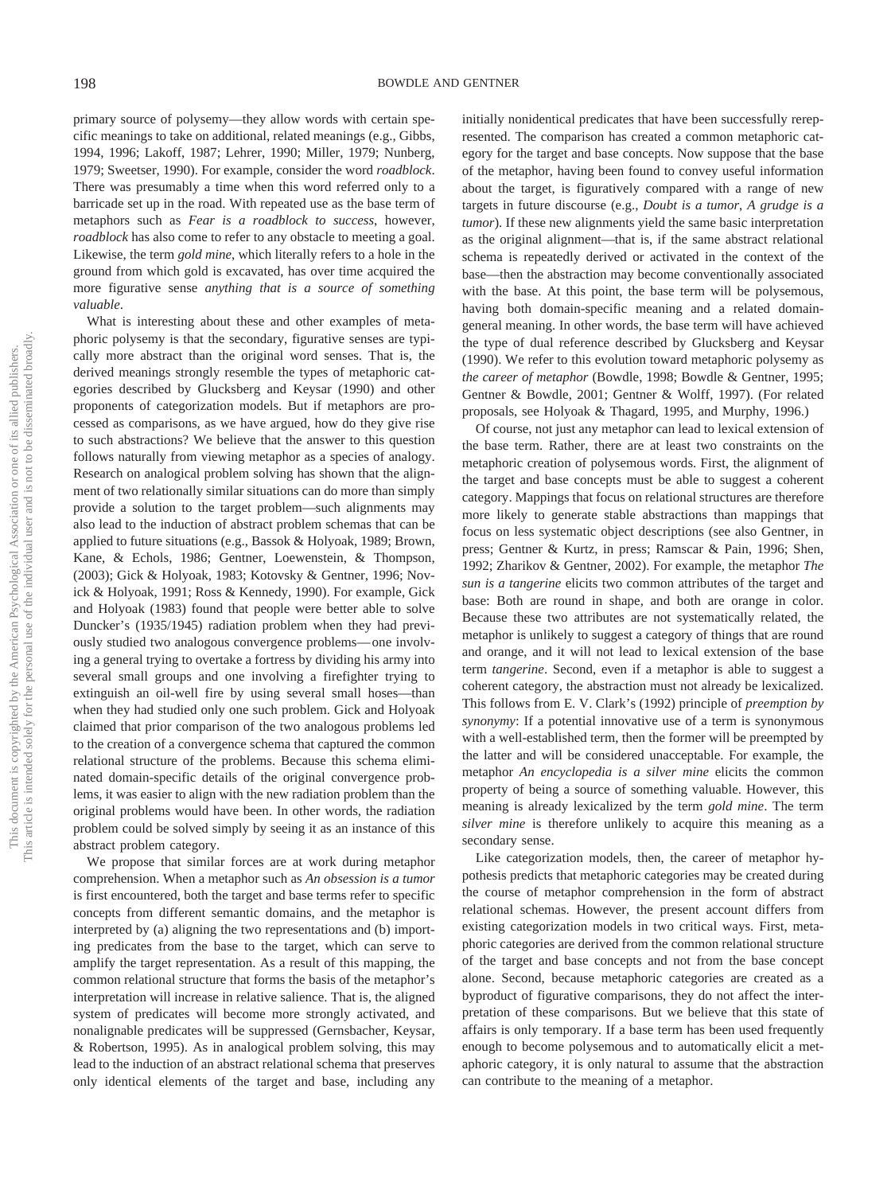primary source of polysemy—they allow words with certain specific meanings to take on additional, related meanings (e.g., Gibbs, 1994, 1996; Lakoff, 1987; Lehrer, 1990; Miller, 1979; Nunberg, 1979; Sweetser, 1990). For example, consider the word *roadblock*. There was presumably a time when this word referred only to a barricade set up in the road. With repeated use as the base term of metaphors such as *Fear is a roadblock to success*, however, *roadblock* has also come to refer to any obstacle to meeting a goal. Likewise, the term *gold mine*, which literally refers to a hole in the ground from which gold is excavated, has over time acquired the more figurative sense *anything that is a source of something valuable*.

What is interesting about these and other examples of metaphoric polysemy is that the secondary, figurative senses are typically more abstract than the original word senses. That is, the derived meanings strongly resemble the types of metaphoric categories described by Glucksberg and Keysar (1990) and other proponents of categorization models. But if metaphors are processed as comparisons, as we have argued, how do they give rise to such abstractions? We believe that the answer to this question follows naturally from viewing metaphor as a species of analogy. Research on analogical problem solving has shown that the alignment of two relationally similar situations can do more than simply provide a solution to the target problem—such alignments may also lead to the induction of abstract problem schemas that can be applied to future situations (e.g., Bassok & Holyoak, 1989; Brown, Kane, & Echols, 1986; Gentner, Loewenstein, & Thompson, (2003); Gick & Holyoak, 1983; Kotovsky & Gentner, 1996; Novick & Holyoak, 1991; Ross & Kennedy, 1990). For example, Gick and Holyoak (1983) found that people were better able to solve Duncker's (1935/1945) radiation problem when they had previously studied two analogous convergence problems— one involving a general trying to overtake a fortress by dividing his army into several small groups and one involving a firefighter trying to extinguish an oil-well fire by using several small hoses—than when they had studied only one such problem. Gick and Holyoak claimed that prior comparison of the two analogous problems led to the creation of a convergence schema that captured the common relational structure of the problems. Because this schema eliminated domain-specific details of the original convergence problems, it was easier to align with the new radiation problem than the original problems would have been. In other words, the radiation problem could be solved simply by seeing it as an instance of this abstract problem category.

We propose that similar forces are at work during metaphor comprehension. When a metaphor such as *An obsession is a tumor* is first encountered, both the target and base terms refer to specific concepts from different semantic domains, and the metaphor is interpreted by (a) aligning the two representations and (b) importing predicates from the base to the target, which can serve to amplify the target representation. As a result of this mapping, the common relational structure that forms the basis of the metaphor's interpretation will increase in relative salience. That is, the aligned system of predicates will become more strongly activated, and nonalignable predicates will be suppressed (Gernsbacher, Keysar, & Robertson, 1995). As in analogical problem solving, this may lead to the induction of an abstract relational schema that preserves only identical elements of the target and base, including any

initially nonidentical predicates that have been successfully rerepresented. The comparison has created a common metaphoric category for the target and base concepts. Now suppose that the base of the metaphor, having been found to convey useful information about the target, is figuratively compared with a range of new targets in future discourse (e.g., *Doubt is a tumor*, *A grudge is a tumor*). If these new alignments yield the same basic interpretation as the original alignment—that is, if the same abstract relational schema is repeatedly derived or activated in the context of the base—then the abstraction may become conventionally associated with the base. At this point, the base term will be polysemous, having both domain-specific meaning and a related domaingeneral meaning. In other words, the base term will have achieved the type of dual reference described by Glucksberg and Keysar (1990). We refer to this evolution toward metaphoric polysemy as *the career of metaphor* (Bowdle, 1998; Bowdle & Gentner, 1995; Gentner & Bowdle, 2001; Gentner & Wolff, 1997). (For related proposals, see Holyoak & Thagard, 1995, and Murphy, 1996.)

Of course, not just any metaphor can lead to lexical extension of the base term. Rather, there are at least two constraints on the metaphoric creation of polysemous words. First, the alignment of the target and base concepts must be able to suggest a coherent category. Mappings that focus on relational structures are therefore more likely to generate stable abstractions than mappings that focus on less systematic object descriptions (see also Gentner, in press; Gentner & Kurtz, in press; Ramscar & Pain, 1996; Shen, 1992; Zharikov & Gentner, 2002). For example, the metaphor *The sun is a tangerine* elicits two common attributes of the target and base: Both are round in shape, and both are orange in color. Because these two attributes are not systematically related, the metaphor is unlikely to suggest a category of things that are round and orange, and it will not lead to lexical extension of the base term *tangerine*. Second, even if a metaphor is able to suggest a coherent category, the abstraction must not already be lexicalized. This follows from E. V. Clark's (1992) principle of *preemption by synonymy*: If a potential innovative use of a term is synonymous with a well-established term, then the former will be preempted by the latter and will be considered unacceptable. For example, the metaphor *An encyclopedia is a silver mine* elicits the common property of being a source of something valuable. However, this meaning is already lexicalized by the term *gold mine*. The term *silver mine* is therefore unlikely to acquire this meaning as a secondary sense.

Like categorization models, then, the career of metaphor hypothesis predicts that metaphoric categories may be created during the course of metaphor comprehension in the form of abstract relational schemas. However, the present account differs from existing categorization models in two critical ways. First, metaphoric categories are derived from the common relational structure of the target and base concepts and not from the base concept alone. Second, because metaphoric categories are created as a byproduct of figurative comparisons, they do not affect the interpretation of these comparisons. But we believe that this state of affairs is only temporary. If a base term has been used frequently enough to become polysemous and to automatically elicit a metaphoric category, it is only natural to assume that the abstraction can contribute to the meaning of a metaphor.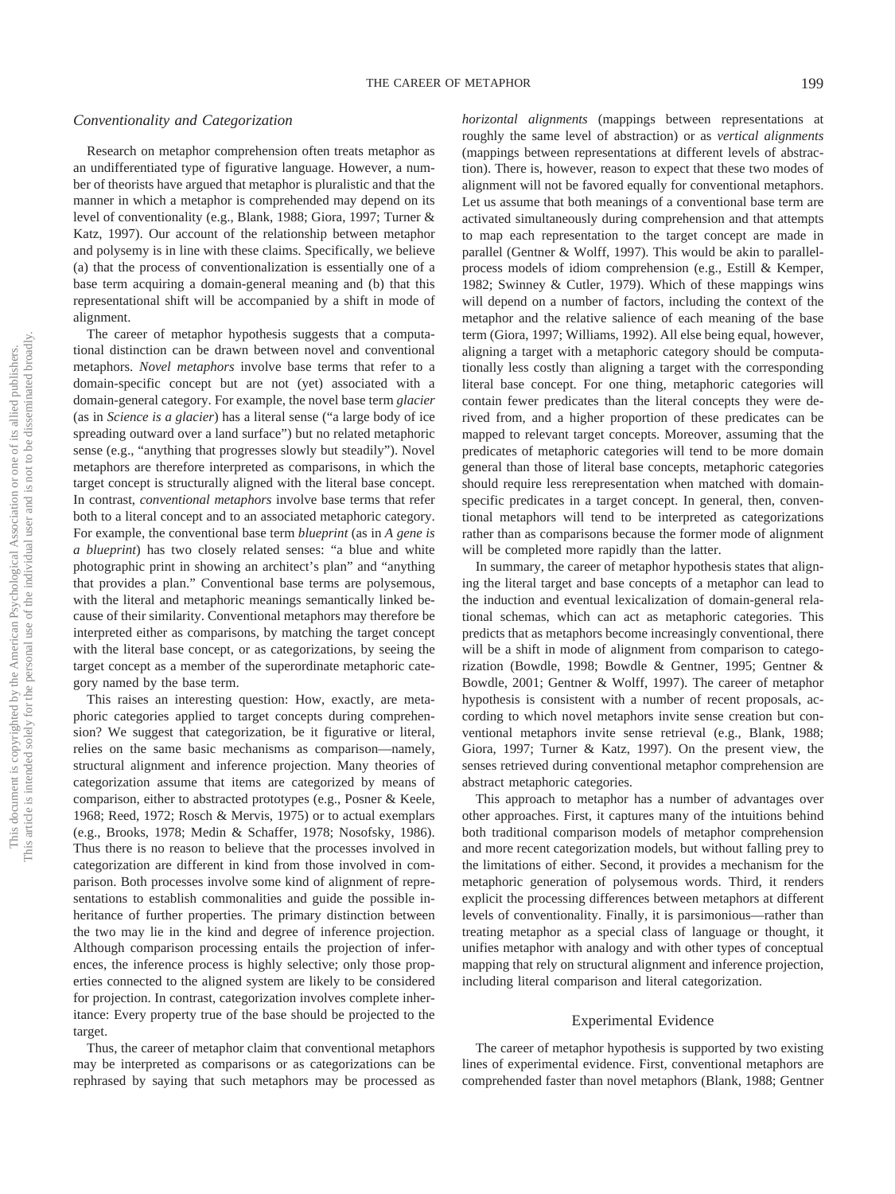#### *Conventionality and Categorization*

Research on metaphor comprehension often treats metaphor as an undifferentiated type of figurative language. However, a number of theorists have argued that metaphor is pluralistic and that the manner in which a metaphor is comprehended may depend on its level of conventionality (e.g., Blank, 1988; Giora, 1997; Turner & Katz, 1997). Our account of the relationship between metaphor and polysemy is in line with these claims. Specifically, we believe (a) that the process of conventionalization is essentially one of a base term acquiring a domain-general meaning and (b) that this representational shift will be accompanied by a shift in mode of alignment.

The career of metaphor hypothesis suggests that a computational distinction can be drawn between novel and conventional metaphors. *Novel metaphors* involve base terms that refer to a domain-specific concept but are not (yet) associated with a domain-general category. For example, the novel base term *glacier* (as in *Science is a glacier*) has a literal sense ("a large body of ice spreading outward over a land surface") but no related metaphoric sense (e.g., "anything that progresses slowly but steadily"). Novel metaphors are therefore interpreted as comparisons, in which the target concept is structurally aligned with the literal base concept. In contrast, *conventional metaphors* involve base terms that refer both to a literal concept and to an associated metaphoric category. For example, the conventional base term *blueprint* (as in *A gene is a blueprint*) has two closely related senses: "a blue and white photographic print in showing an architect's plan" and "anything that provides a plan." Conventional base terms are polysemous, with the literal and metaphoric meanings semantically linked because of their similarity. Conventional metaphors may therefore be interpreted either as comparisons, by matching the target concept with the literal base concept, or as categorizations, by seeing the target concept as a member of the superordinate metaphoric category named by the base term.

This raises an interesting question: How, exactly, are metaphoric categories applied to target concepts during comprehension? We suggest that categorization, be it figurative or literal, relies on the same basic mechanisms as comparison—namely, structural alignment and inference projection. Many theories of categorization assume that items are categorized by means of comparison, either to abstracted prototypes (e.g., Posner & Keele, 1968; Reed, 1972; Rosch & Mervis, 1975) or to actual exemplars (e.g., Brooks, 1978; Medin & Schaffer, 1978; Nosofsky, 1986). Thus there is no reason to believe that the processes involved in categorization are different in kind from those involved in comparison. Both processes involve some kind of alignment of representations to establish commonalities and guide the possible inheritance of further properties. The primary distinction between the two may lie in the kind and degree of inference projection. Although comparison processing entails the projection of inferences, the inference process is highly selective; only those properties connected to the aligned system are likely to be considered for projection. In contrast, categorization involves complete inheritance: Every property true of the base should be projected to the target.

Thus, the career of metaphor claim that conventional metaphors may be interpreted as comparisons or as categorizations can be rephrased by saying that such metaphors may be processed as *horizontal alignments* (mappings between representations at roughly the same level of abstraction) or as *vertical alignments* (mappings between representations at different levels of abstraction). There is, however, reason to expect that these two modes of alignment will not be favored equally for conventional metaphors. Let us assume that both meanings of a conventional base term are activated simultaneously during comprehension and that attempts to map each representation to the target concept are made in parallel (Gentner & Wolff, 1997). This would be akin to parallelprocess models of idiom comprehension (e.g., Estill & Kemper, 1982; Swinney & Cutler, 1979). Which of these mappings wins will depend on a number of factors, including the context of the metaphor and the relative salience of each meaning of the base term (Giora, 1997; Williams, 1992). All else being equal, however, aligning a target with a metaphoric category should be computationally less costly than aligning a target with the corresponding literal base concept. For one thing, metaphoric categories will contain fewer predicates than the literal concepts they were derived from, and a higher proportion of these predicates can be mapped to relevant target concepts. Moreover, assuming that the predicates of metaphoric categories will tend to be more domain general than those of literal base concepts, metaphoric categories should require less rerepresentation when matched with domainspecific predicates in a target concept. In general, then, conventional metaphors will tend to be interpreted as categorizations rather than as comparisons because the former mode of alignment will be completed more rapidly than the latter.

In summary, the career of metaphor hypothesis states that aligning the literal target and base concepts of a metaphor can lead to the induction and eventual lexicalization of domain-general relational schemas, which can act as metaphoric categories. This predicts that as metaphors become increasingly conventional, there will be a shift in mode of alignment from comparison to categorization (Bowdle, 1998; Bowdle & Gentner, 1995; Gentner & Bowdle, 2001; Gentner & Wolff, 1997). The career of metaphor hypothesis is consistent with a number of recent proposals, according to which novel metaphors invite sense creation but conventional metaphors invite sense retrieval (e.g., Blank, 1988; Giora, 1997; Turner & Katz, 1997). On the present view, the senses retrieved during conventional metaphor comprehension are abstract metaphoric categories.

This approach to metaphor has a number of advantages over other approaches. First, it captures many of the intuitions behind both traditional comparison models of metaphor comprehension and more recent categorization models, but without falling prey to the limitations of either. Second, it provides a mechanism for the metaphoric generation of polysemous words. Third, it renders explicit the processing differences between metaphors at different levels of conventionality. Finally, it is parsimonious—rather than treating metaphor as a special class of language or thought, it unifies metaphor with analogy and with other types of conceptual mapping that rely on structural alignment and inference projection, including literal comparison and literal categorization.

#### Experimental Evidence

The career of metaphor hypothesis is supported by two existing lines of experimental evidence. First, conventional metaphors are comprehended faster than novel metaphors (Blank, 1988; Gentner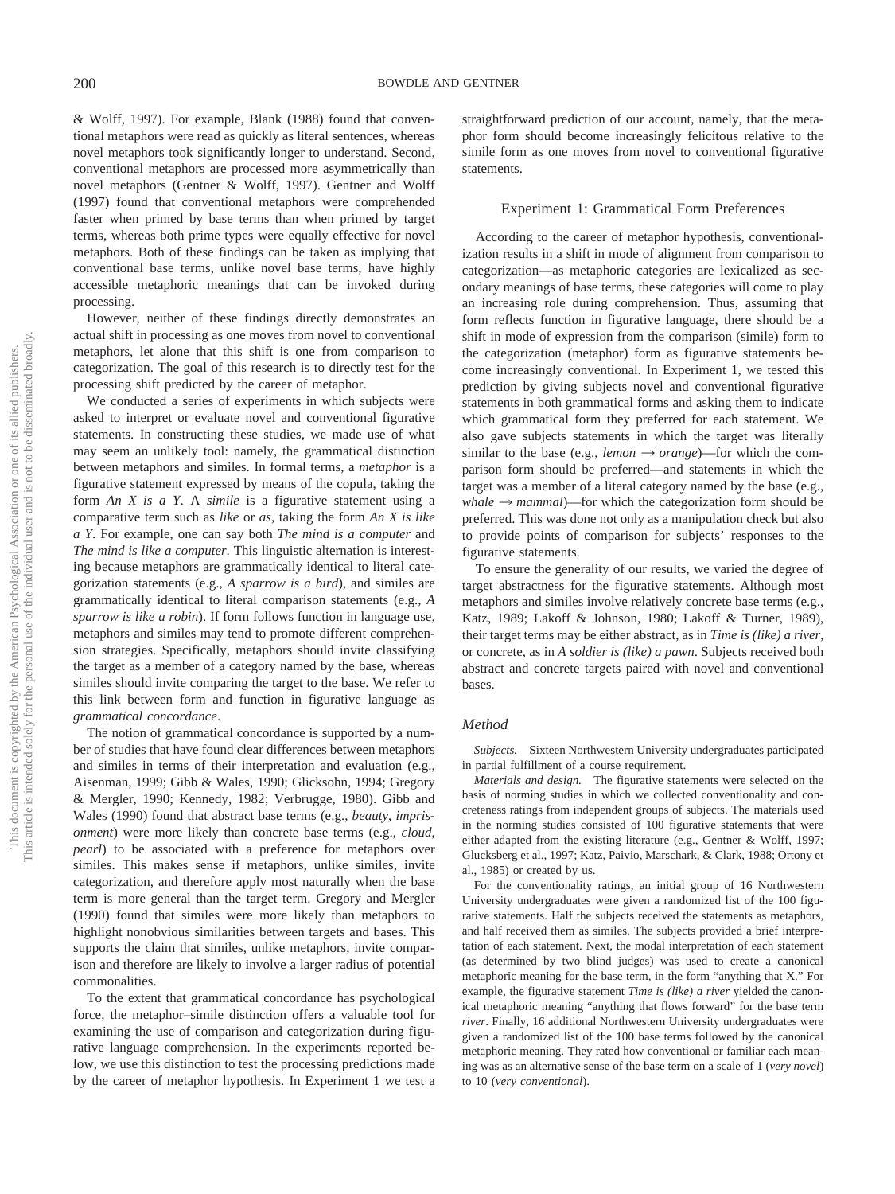& Wolff, 1997). For example, Blank (1988) found that conventional metaphors were read as quickly as literal sentences, whereas novel metaphors took significantly longer to understand. Second, conventional metaphors are processed more asymmetrically than novel metaphors (Gentner & Wolff, 1997). Gentner and Wolff (1997) found that conventional metaphors were comprehended faster when primed by base terms than when primed by target terms, whereas both prime types were equally effective for novel metaphors. Both of these findings can be taken as implying that conventional base terms, unlike novel base terms, have highly accessible metaphoric meanings that can be invoked during processing.

However, neither of these findings directly demonstrates an actual shift in processing as one moves from novel to conventional metaphors, let alone that this shift is one from comparison to categorization. The goal of this research is to directly test for the processing shift predicted by the career of metaphor.

We conducted a series of experiments in which subjects were asked to interpret or evaluate novel and conventional figurative statements. In constructing these studies, we made use of what may seem an unlikely tool: namely, the grammatical distinction between metaphors and similes. In formal terms, a *metaphor* is a figurative statement expressed by means of the copula, taking the form *An X is a Y*. A *simile* is a figurative statement using a comparative term such as *like* or *as*, taking the form *An X is like a Y*. For example, one can say both *The mind is a computer* and *The mind is like a computer*. This linguistic alternation is interesting because metaphors are grammatically identical to literal categorization statements (e.g., *A sparrow is a bird*), and similes are grammatically identical to literal comparison statements (e.g., *A sparrow is like a robin*). If form follows function in language use, metaphors and similes may tend to promote different comprehension strategies. Specifically, metaphors should invite classifying the target as a member of a category named by the base, whereas similes should invite comparing the target to the base. We refer to this link between form and function in figurative language as *grammatical concordance*.

The notion of grammatical concordance is supported by a number of studies that have found clear differences between metaphors and similes in terms of their interpretation and evaluation (e.g., Aisenman, 1999; Gibb & Wales, 1990; Glicksohn, 1994; Gregory & Mergler, 1990; Kennedy, 1982; Verbrugge, 1980). Gibb and Wales (1990) found that abstract base terms (e.g., *beauty*, *imprisonment*) were more likely than concrete base terms (e.g., *cloud*, *pearl*) to be associated with a preference for metaphors over similes. This makes sense if metaphors, unlike similes, invite categorization, and therefore apply most naturally when the base term is more general than the target term. Gregory and Mergler (1990) found that similes were more likely than metaphors to highlight nonobvious similarities between targets and bases. This supports the claim that similes, unlike metaphors, invite comparison and therefore are likely to involve a larger radius of potential commonalities.

To the extent that grammatical concordance has psychological force, the metaphor–simile distinction offers a valuable tool for examining the use of comparison and categorization during figurative language comprehension. In the experiments reported below, we use this distinction to test the processing predictions made by the career of metaphor hypothesis. In Experiment 1 we test a straightforward prediction of our account, namely, that the metaphor form should become increasingly felicitous relative to the simile form as one moves from novel to conventional figurative statements.

#### Experiment 1: Grammatical Form Preferences

According to the career of metaphor hypothesis, conventionalization results in a shift in mode of alignment from comparison to categorization—as metaphoric categories are lexicalized as secondary meanings of base terms, these categories will come to play an increasing role during comprehension. Thus, assuming that form reflects function in figurative language, there should be a shift in mode of expression from the comparison (simile) form to the categorization (metaphor) form as figurative statements become increasingly conventional. In Experiment 1, we tested this prediction by giving subjects novel and conventional figurative statements in both grammatical forms and asking them to indicate which grammatical form they preferred for each statement. We also gave subjects statements in which the target was literally similar to the base (e.g., *lemon*  $\rightarrow$  *orange*)—for which the comparison form should be preferred—and statements in which the target was a member of a literal category named by the base (e.g.,  $whale \rightarrow mammal$ —for which the categorization form should be preferred. This was done not only as a manipulation check but also to provide points of comparison for subjects' responses to the figurative statements.

To ensure the generality of our results, we varied the degree of target abstractness for the figurative statements. Although most metaphors and similes involve relatively concrete base terms (e.g., Katz, 1989; Lakoff & Johnson, 1980; Lakoff & Turner, 1989), their target terms may be either abstract, as in *Time is (like) a river*, or concrete, as in *A soldier is (like) a pawn*. Subjects received both abstract and concrete targets paired with novel and conventional bases.

#### *Method*

*Subjects.* Sixteen Northwestern University undergraduates participated in partial fulfillment of a course requirement.

*Materials and design.* The figurative statements were selected on the basis of norming studies in which we collected conventionality and concreteness ratings from independent groups of subjects. The materials used in the norming studies consisted of 100 figurative statements that were either adapted from the existing literature (e.g., Gentner & Wolff, 1997; Glucksberg et al., 1997; Katz, Paivio, Marschark, & Clark, 1988; Ortony et al., 1985) or created by us.

For the conventionality ratings, an initial group of 16 Northwestern University undergraduates were given a randomized list of the 100 figurative statements. Half the subjects received the statements as metaphors, and half received them as similes. The subjects provided a brief interpretation of each statement. Next, the modal interpretation of each statement (as determined by two blind judges) was used to create a canonical metaphoric meaning for the base term, in the form "anything that X." For example, the figurative statement *Time is (like) a river* yielded the canonical metaphoric meaning "anything that flows forward" for the base term *river*. Finally, 16 additional Northwestern University undergraduates were given a randomized list of the 100 base terms followed by the canonical metaphoric meaning. They rated how conventional or familiar each meaning was as an alternative sense of the base term on a scale of 1 (*very novel*) to 10 (*very conventional*).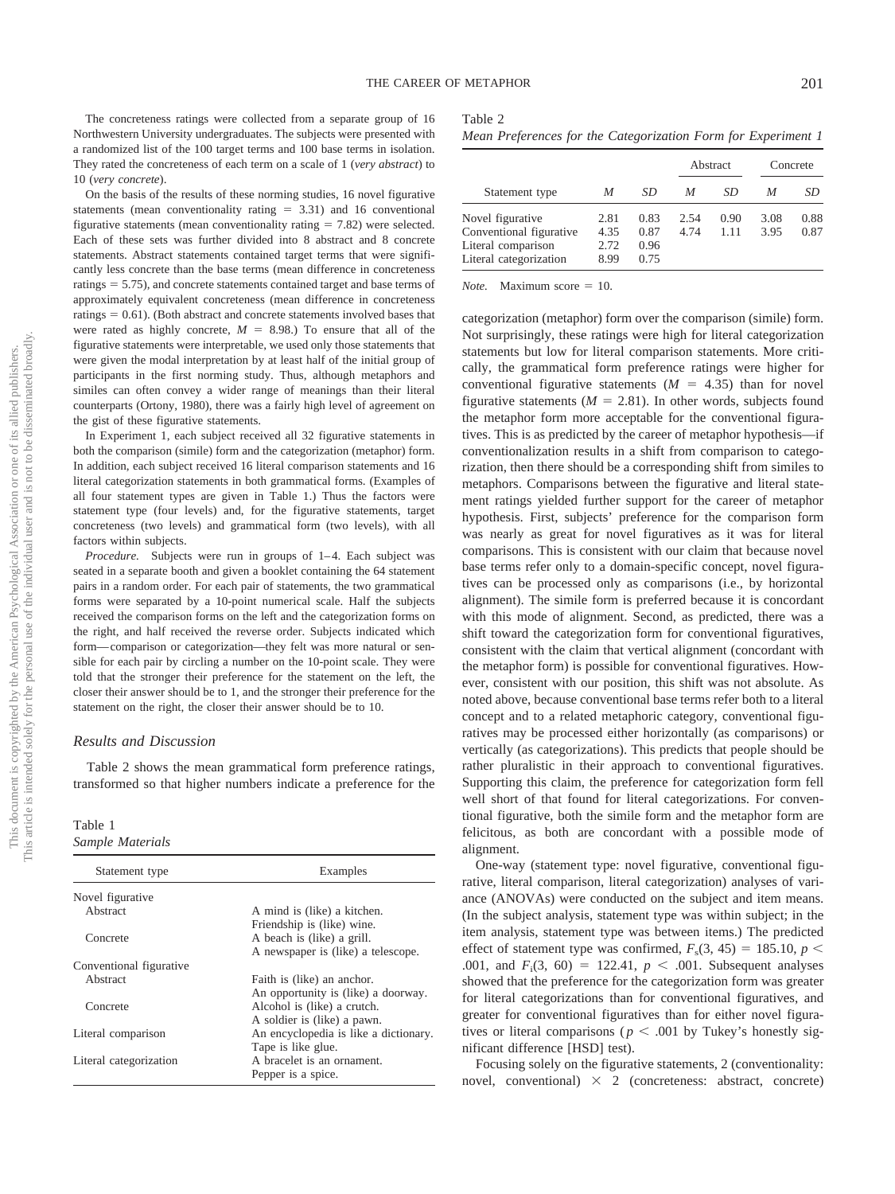The concreteness ratings were collected from a separate group of 16 Northwestern University undergraduates. The subjects were presented with a randomized list of the 100 target terms and 100 base terms in isolation. They rated the concreteness of each term on a scale of 1 (*very abstract*) to 10 (*very concrete*).

On the basis of the results of these norming studies, 16 novel figurative statements (mean conventionality rating  $= 3.31$ ) and 16 conventional figurative statements (mean conventionality rating  $= 7.82$ ) were selected. Each of these sets was further divided into 8 abstract and 8 concrete statements. Abstract statements contained target terms that were significantly less concrete than the base terms (mean difference in concreteness ratings  $= 5.75$ ), and concrete statements contained target and base terms of approximately equivalent concreteness (mean difference in concreteness ratings  $= 0.61$ ). (Both abstract and concrete statements involved bases that were rated as highly concrete,  $M = 8.98$ .) To ensure that all of the figurative statements were interpretable, we used only those statements that were given the modal interpretation by at least half of the initial group of participants in the first norming study. Thus, although metaphors and similes can often convey a wider range of meanings than their literal counterparts (Ortony, 1980), there was a fairly high level of agreement on the gist of these figurative statements.

In Experiment 1, each subject received all 32 figurative statements in both the comparison (simile) form and the categorization (metaphor) form. In addition, each subject received 16 literal comparison statements and 16 literal categorization statements in both grammatical forms. (Examples of all four statement types are given in Table 1.) Thus the factors were statement type (four levels) and, for the figurative statements, target concreteness (two levels) and grammatical form (two levels), with all factors within subjects.

*Procedure.* Subjects were run in groups of 1-4. Each subject was seated in a separate booth and given a booklet containing the 64 statement pairs in a random order. For each pair of statements, the two grammatical forms were separated by a 10-point numerical scale. Half the subjects received the comparison forms on the left and the categorization forms on the right, and half received the reverse order. Subjects indicated which form— comparison or categorization—they felt was more natural or sensible for each pair by circling a number on the 10-point scale. They were told that the stronger their preference for the statement on the left, the closer their answer should be to 1, and the stronger their preference for the statement on the right, the closer their answer should be to 10.

#### *Results and Discussion*

Table 2 shows the mean grammatical form preference ratings, transformed so that higher numbers indicate a preference for the

Table 1 *Sample Materials*

| sample malerials<br>Statement type | Examples                              |
|------------------------------------|---------------------------------------|
| Novel figurative                   |                                       |
| Abstract                           | A mind is (like) a kitchen.           |
|                                    | Friendship is (like) wine.            |
| Concrete                           | A beach is (like) a grill.            |
|                                    | A newspaper is (like) a telescope.    |
| Conventional figurative            |                                       |
| Abstract                           | Faith is (like) an anchor.            |
|                                    | An opportunity is (like) a doorway.   |
| Concrete                           | Alcohol is (like) a crutch.           |
|                                    | A soldier is (like) a pawn.           |
| Literal comparison                 | An encyclopedia is like a dictionary. |
|                                    | Tape is like glue.                    |
| Literal categorization             | A bracelet is an ornament.            |
|                                    | Pepper is a spice.                    |

| Table |  |
|-------|--|
|-------|--|

|  |  |  | Mean Preferences for the Categorization Form for Experiment 1 |  |  |  |
|--|--|--|---------------------------------------------------------------|--|--|--|
|--|--|--|---------------------------------------------------------------|--|--|--|

|                                                                                             |                              |                              |              | Abstract     |              | Concrete     |
|---------------------------------------------------------------------------------------------|------------------------------|------------------------------|--------------|--------------|--------------|--------------|
| Statement type                                                                              | M                            | SD                           | M            | SD           | M            | SD           |
| Novel figurative<br>Conventional figurative<br>Literal comparison<br>Literal categorization | 2.81<br>4.35<br>2.72<br>8.99 | 0.83<br>0.87<br>0.96<br>0.75 | 2.54<br>4.74 | 0.90<br>1.11 | 3.08<br>3.95 | 0.88<br>0.87 |

*Note.* Maximum score  $= 10$ .

categorization (metaphor) form over the comparison (simile) form. Not surprisingly, these ratings were high for literal categorization statements but low for literal comparison statements. More critically, the grammatical form preference ratings were higher for conventional figurative statements  $(M = 4.35)$  than for novel figurative statements  $(M = 2.81)$ . In other words, subjects found the metaphor form more acceptable for the conventional figuratives. This is as predicted by the career of metaphor hypothesis—if conventionalization results in a shift from comparison to categorization, then there should be a corresponding shift from similes to metaphors. Comparisons between the figurative and literal statement ratings yielded further support for the career of metaphor hypothesis. First, subjects' preference for the comparison form was nearly as great for novel figuratives as it was for literal comparisons. This is consistent with our claim that because novel base terms refer only to a domain-specific concept, novel figuratives can be processed only as comparisons (i.e., by horizontal alignment). The simile form is preferred because it is concordant with this mode of alignment. Second, as predicted, there was a shift toward the categorization form for conventional figuratives, consistent with the claim that vertical alignment (concordant with the metaphor form) is possible for conventional figuratives. However, consistent with our position, this shift was not absolute. As noted above, because conventional base terms refer both to a literal concept and to a related metaphoric category, conventional figuratives may be processed either horizontally (as comparisons) or vertically (as categorizations). This predicts that people should be rather pluralistic in their approach to conventional figuratives. Supporting this claim, the preference for categorization form fell well short of that found for literal categorizations. For conventional figurative, both the simile form and the metaphor form are felicitous, as both are concordant with a possible mode of alignment.

One-way (statement type: novel figurative, conventional figurative, literal comparison, literal categorization) analyses of variance (ANOVAs) were conducted on the subject and item means. (In the subject analysis, statement type was within subject; in the item analysis, statement type was between items.) The predicted effect of statement type was confirmed,  $F_s(3, 45) = 185.10, p <$ .001, and  $F_1(3, 60) = 122.41$ ,  $p < .001$ . Subsequent analyses showed that the preference for the categorization form was greater for literal categorizations than for conventional figuratives, and greater for conventional figuratives than for either novel figuratives or literal comparisons ( $p < .001$  by Tukey's honestly significant difference [HSD] test).

Focusing solely on the figurative statements, 2 (conventionality: novel, conventional)  $\times$  2 (concreteness: abstract, concrete)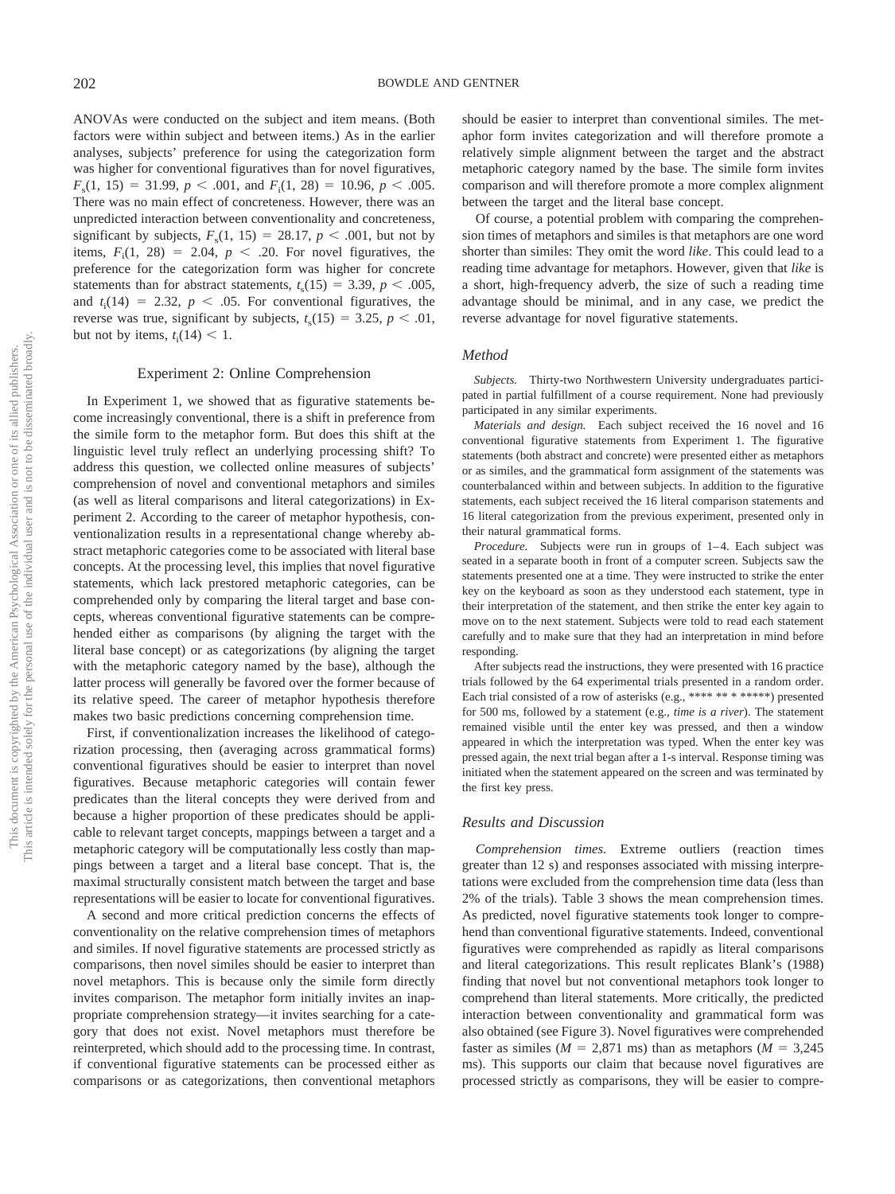ANOVAs were conducted on the subject and item means. (Both factors were within subject and between items.) As in the earlier analyses, subjects' preference for using the categorization form was higher for conventional figuratives than for novel figuratives,  $F_s(1, 15) = 31.99, p < .001, \text{ and } F_i(1, 28) = 10.96, p < .005.$ There was no main effect of concreteness. However, there was an unpredicted interaction between conventionality and concreteness, significant by subjects,  $F_s(1, 15) = 28.17, p < .001$ , but not by items,  $F_i(1, 28) = 2.04$ ,  $p < .20$ . For novel figuratives, the preference for the categorization form was higher for concrete statements than for abstract statements,  $t_s(15) = 3.39, p < .005$ , and  $t_i(14) = 2.32$ ,  $p < .05$ . For conventional figuratives, the reverse was true, significant by subjects,  $t_s(15) = 3.25, p < .01$ , but not by items,  $t_i(14) < 1$ .

## Experiment 2: Online Comprehension

In Experiment 1, we showed that as figurative statements become increasingly conventional, there is a shift in preference from the simile form to the metaphor form. But does this shift at the linguistic level truly reflect an underlying processing shift? To address this question, we collected online measures of subjects' comprehension of novel and conventional metaphors and similes (as well as literal comparisons and literal categorizations) in Experiment 2. According to the career of metaphor hypothesis, conventionalization results in a representational change whereby abstract metaphoric categories come to be associated with literal base concepts. At the processing level, this implies that novel figurative statements, which lack prestored metaphoric categories, can be comprehended only by comparing the literal target and base concepts, whereas conventional figurative statements can be comprehended either as comparisons (by aligning the target with the literal base concept) or as categorizations (by aligning the target with the metaphoric category named by the base), although the latter process will generally be favored over the former because of its relative speed. The career of metaphor hypothesis therefore makes two basic predictions concerning comprehension time.

First, if conventionalization increases the likelihood of categorization processing, then (averaging across grammatical forms) conventional figuratives should be easier to interpret than novel figuratives. Because metaphoric categories will contain fewer predicates than the literal concepts they were derived from and because a higher proportion of these predicates should be applicable to relevant target concepts, mappings between a target and a metaphoric category will be computationally less costly than mappings between a target and a literal base concept. That is, the maximal structurally consistent match between the target and base representations will be easier to locate for conventional figuratives.

A second and more critical prediction concerns the effects of conventionality on the relative comprehension times of metaphors and similes. If novel figurative statements are processed strictly as comparisons, then novel similes should be easier to interpret than novel metaphors. This is because only the simile form directly invites comparison. The metaphor form initially invites an inappropriate comprehension strategy—it invites searching for a category that does not exist. Novel metaphors must therefore be reinterpreted, which should add to the processing time. In contrast, if conventional figurative statements can be processed either as comparisons or as categorizations, then conventional metaphors

should be easier to interpret than conventional similes. The metaphor form invites categorization and will therefore promote a relatively simple alignment between the target and the abstract metaphoric category named by the base. The simile form invites comparison and will therefore promote a more complex alignment between the target and the literal base concept.

Of course, a potential problem with comparing the comprehension times of metaphors and similes is that metaphors are one word shorter than similes: They omit the word *like*. This could lead to a reading time advantage for metaphors. However, given that *like* is a short, high-frequency adverb, the size of such a reading time advantage should be minimal, and in any case, we predict the reverse advantage for novel figurative statements.

#### *Method*

*Subjects.* Thirty-two Northwestern University undergraduates participated in partial fulfillment of a course requirement. None had previously participated in any similar experiments.

*Materials and design.* Each subject received the 16 novel and 16 conventional figurative statements from Experiment 1. The figurative statements (both abstract and concrete) were presented either as metaphors or as similes, and the grammatical form assignment of the statements was counterbalanced within and between subjects. In addition to the figurative statements, each subject received the 16 literal comparison statements and 16 literal categorization from the previous experiment, presented only in their natural grammatical forms.

*Procedure.* Subjects were run in groups of 1-4. Each subject was seated in a separate booth in front of a computer screen. Subjects saw the statements presented one at a time. They were instructed to strike the enter key on the keyboard as soon as they understood each statement, type in their interpretation of the statement, and then strike the enter key again to move on to the next statement. Subjects were told to read each statement carefully and to make sure that they had an interpretation in mind before responding.

After subjects read the instructions, they were presented with 16 practice trials followed by the 64 experimental trials presented in a random order. Each trial consisted of a row of asterisks (e.g., \*\*\*\* \*\*\* \* \*\*\*\*\*\*) presented for 500 ms, followed by a statement (e.g., *time is a river*). The statement remained visible until the enter key was pressed, and then a window appeared in which the interpretation was typed. When the enter key was pressed again, the next trial began after a 1-s interval. Response timing was initiated when the statement appeared on the screen and was terminated by the first key press.

#### *Results and Discussion*

*Comprehension times.* Extreme outliers (reaction times greater than 12 s) and responses associated with missing interpretations were excluded from the comprehension time data (less than 2% of the trials). Table 3 shows the mean comprehension times. As predicted, novel figurative statements took longer to comprehend than conventional figurative statements. Indeed, conventional figuratives were comprehended as rapidly as literal comparisons and literal categorizations. This result replicates Blank's (1988) finding that novel but not conventional metaphors took longer to comprehend than literal statements. More critically, the predicted interaction between conventionality and grammatical form was also obtained (see Figure 3). Novel figuratives were comprehended faster as similes ( $M = 2,871$  ms) than as metaphors ( $M = 3,245$ ms). This supports our claim that because novel figuratives are processed strictly as comparisons, they will be easier to compre-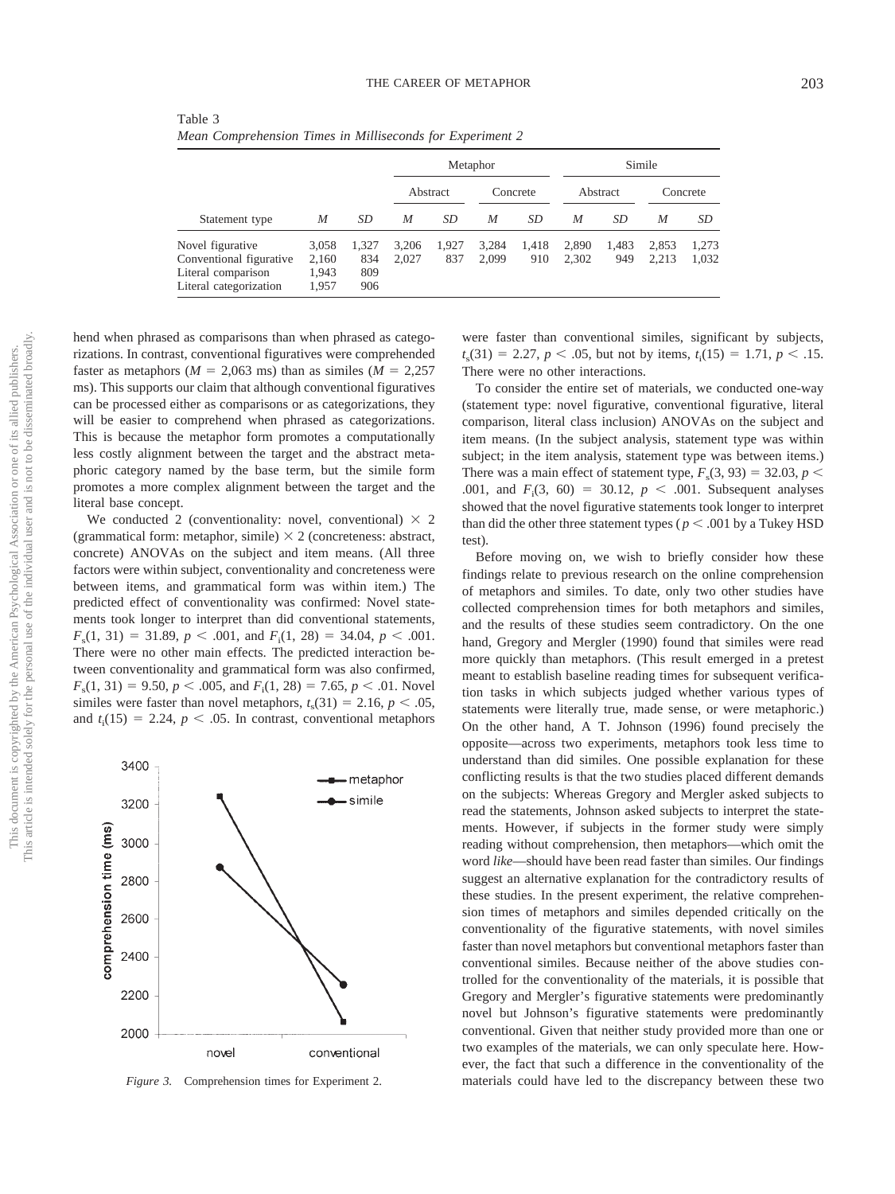| Table 3                                                   |  |  |
|-----------------------------------------------------------|--|--|
| Mean Comprehension Times in Milliseconds for Experiment 2 |  |  |

|                                                                                             |                                  |                            |                |              | Metaphor       |              |                |              | Simile         |                |
|---------------------------------------------------------------------------------------------|----------------------------------|----------------------------|----------------|--------------|----------------|--------------|----------------|--------------|----------------|----------------|
|                                                                                             |                                  |                            |                | Abstract     |                | Concrete     |                | Abstract     |                | Concrete       |
| Statement type                                                                              | M                                | SD                         | M              | SD           | M              | SD           | M              | SD           | M              | SD             |
| Novel figurative<br>Conventional figurative<br>Literal comparison<br>Literal categorization | 3,058<br>2,160<br>1,943<br>1.957 | 1,327<br>834<br>809<br>906 | 3,206<br>2.027 | 1,927<br>837 | 3,284<br>2.099 | 1,418<br>910 | 2,890<br>2,302 | 1,483<br>949 | 2.853<br>2.213 | 1,273<br>1,032 |

hend when phrased as comparisons than when phrased as categorizations. In contrast, conventional figuratives were comprehended faster as metaphors ( $M = 2,063$  ms) than as similes ( $M = 2,257$ ms). This supports our claim that although conventional figuratives can be processed either as comparisons or as categorizations, they will be easier to comprehend when phrased as categorizations. This is because the metaphor form promotes a computationally less costly alignment between the target and the abstract metaphoric category named by the base term, but the simile form promotes a more complex alignment between the target and the literal base concept.

We conducted 2 (conventionality: novel, conventional)  $\times$  2 (grammatical form: metaphor, simile)  $\times$  2 (concreteness: abstract, concrete) ANOVAs on the subject and item means. (All three factors were within subject, conventionality and concreteness were between items, and grammatical form was within item.) The predicted effect of conventionality was confirmed: Novel statements took longer to interpret than did conventional statements,  $F_s(1, 31) = 31.89, p < .001, \text{ and } F_i(1, 28) = 34.04, p < .001.$ There were no other main effects. The predicted interaction between conventionality and grammatical form was also confirmed,  $F_s(1, 31) = 9.50, p < .005, \text{ and } F_i(1, 28) = 7.65, p < .01.$  Novel similes were faster than novel metaphors,  $t_s(31) = 2.16$ ,  $p < .05$ , and  $t_i(15) = 2.24$ ,  $p < .05$ . In contrast, conventional metaphors



*Figure 3.* Comprehension times for Experiment 2.

were faster than conventional similes, significant by subjects,  $t_s(31) = 2.27, p < .05$ , but not by items,  $t_i(15) = 1.71, p < .15$ . There were no other interactions.

To consider the entire set of materials, we conducted one-way (statement type: novel figurative, conventional figurative, literal comparison, literal class inclusion) ANOVAs on the subject and item means. (In the subject analysis, statement type was within subject; in the item analysis, statement type was between items.) There was a main effect of statement type,  $F_s(3, 93) = 32.03$ ,  $p <$ .001, and  $F_i(3, 60) = 30.12, p < .001$ . Subsequent analyses showed that the novel figurative statements took longer to interpret than did the other three statement types ( $p < .001$  by a Tukey HSD test).

Before moving on, we wish to briefly consider how these findings relate to previous research on the online comprehension of metaphors and similes. To date, only two other studies have collected comprehension times for both metaphors and similes, and the results of these studies seem contradictory. On the one hand, Gregory and Mergler (1990) found that similes were read more quickly than metaphors. (This result emerged in a pretest meant to establish baseline reading times for subsequent verification tasks in which subjects judged whether various types of statements were literally true, made sense, or were metaphoric.) On the other hand, A T. Johnson (1996) found precisely the opposite—across two experiments, metaphors took less time to understand than did similes. One possible explanation for these conflicting results is that the two studies placed different demands on the subjects: Whereas Gregory and Mergler asked subjects to read the statements, Johnson asked subjects to interpret the statements. However, if subjects in the former study were simply reading without comprehension, then metaphors—which omit the word *like*—should have been read faster than similes. Our findings suggest an alternative explanation for the contradictory results of these studies. In the present experiment, the relative comprehension times of metaphors and similes depended critically on the conventionality of the figurative statements, with novel similes faster than novel metaphors but conventional metaphors faster than conventional similes. Because neither of the above studies controlled for the conventionality of the materials, it is possible that Gregory and Mergler's figurative statements were predominantly novel but Johnson's figurative statements were predominantly conventional. Given that neither study provided more than one or two examples of the materials, we can only speculate here. However, the fact that such a difference in the conventionality of the materials could have led to the discrepancy between these two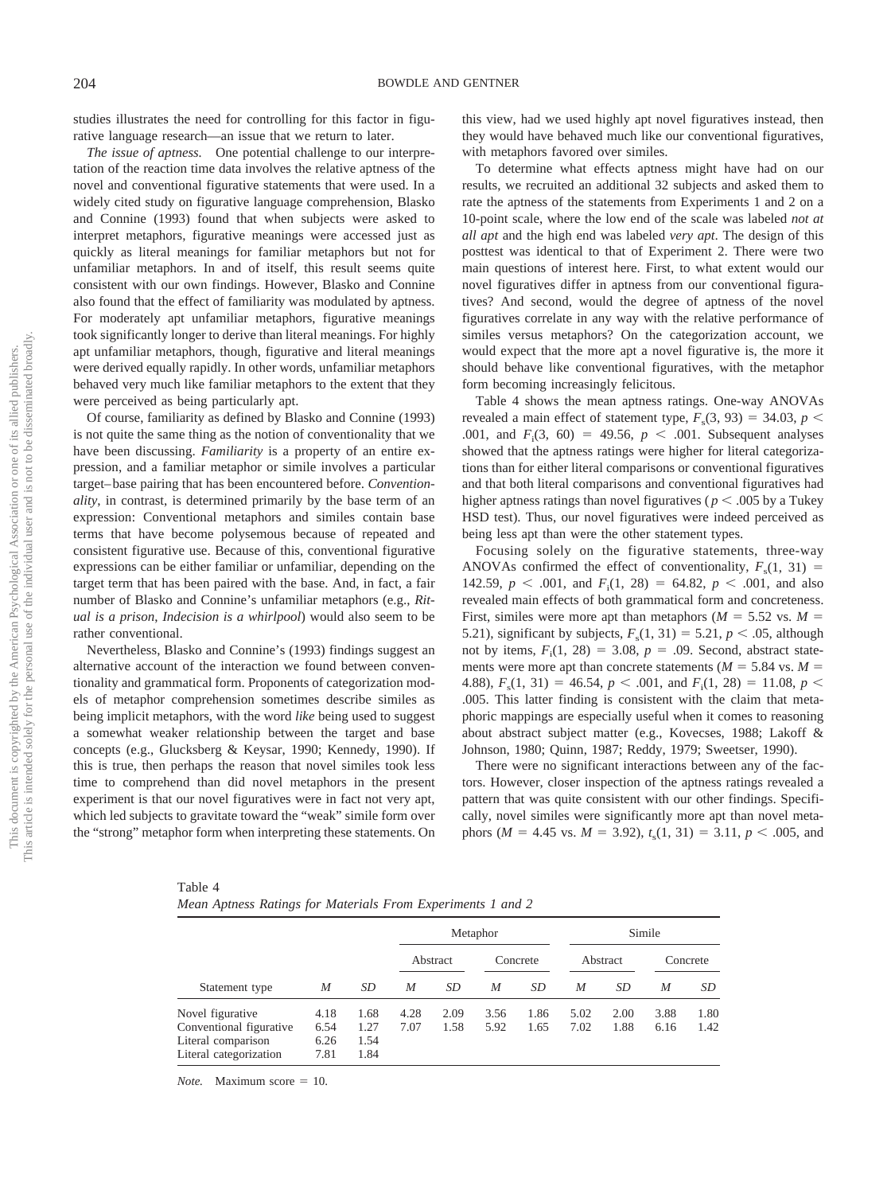studies illustrates the need for controlling for this factor in figurative language research—an issue that we return to later.

*The issue of aptness.* One potential challenge to our interpretation of the reaction time data involves the relative aptness of the novel and conventional figurative statements that were used. In a widely cited study on figurative language comprehension, Blasko and Connine (1993) found that when subjects were asked to interpret metaphors, figurative meanings were accessed just as quickly as literal meanings for familiar metaphors but not for unfamiliar metaphors. In and of itself, this result seems quite consistent with our own findings. However, Blasko and Connine also found that the effect of familiarity was modulated by aptness. For moderately apt unfamiliar metaphors, figurative meanings took significantly longer to derive than literal meanings. For highly apt unfamiliar metaphors, though, figurative and literal meanings were derived equally rapidly. In other words, unfamiliar metaphors behaved very much like familiar metaphors to the extent that they were perceived as being particularly apt.

Of course, familiarity as defined by Blasko and Connine (1993) is not quite the same thing as the notion of conventionality that we have been discussing. *Familiarity* is a property of an entire expression, and a familiar metaphor or simile involves a particular target– base pairing that has been encountered before. *Conventionality*, in contrast, is determined primarily by the base term of an expression: Conventional metaphors and similes contain base terms that have become polysemous because of repeated and consistent figurative use. Because of this, conventional figurative expressions can be either familiar or unfamiliar, depending on the target term that has been paired with the base. And, in fact, a fair number of Blasko and Connine's unfamiliar metaphors (e.g., *Ritual is a prison*, *Indecision is a whirlpool*) would also seem to be rather conventional.

Nevertheless, Blasko and Connine's (1993) findings suggest an alternative account of the interaction we found between conventionality and grammatical form. Proponents of categorization models of metaphor comprehension sometimes describe similes as being implicit metaphors, with the word *like* being used to suggest a somewhat weaker relationship between the target and base concepts (e.g., Glucksberg & Keysar, 1990; Kennedy, 1990). If this is true, then perhaps the reason that novel similes took less time to comprehend than did novel metaphors in the present experiment is that our novel figuratives were in fact not very apt, which led subjects to gravitate toward the "weak" simile form over the "strong" metaphor form when interpreting these statements. On

this view, had we used highly apt novel figuratives instead, then they would have behaved much like our conventional figuratives, with metaphors favored over similes.

To determine what effects aptness might have had on our results, we recruited an additional 32 subjects and asked them to rate the aptness of the statements from Experiments 1 and 2 on a 10-point scale, where the low end of the scale was labeled *not at all apt* and the high end was labeled *very apt*. The design of this posttest was identical to that of Experiment 2. There were two main questions of interest here. First, to what extent would our novel figuratives differ in aptness from our conventional figuratives? And second, would the degree of aptness of the novel figuratives correlate in any way with the relative performance of similes versus metaphors? On the categorization account, we would expect that the more apt a novel figurative is, the more it should behave like conventional figuratives, with the metaphor form becoming increasingly felicitous.

Table 4 shows the mean aptness ratings. One-way ANOVAs revealed a main effect of statement type,  $F_s(3, 93) = 34.03$ ,  $p <$ .001, and  $F_i(3, 60) = 49.56, p < .001$ . Subsequent analyses showed that the aptness ratings were higher for literal categorizations than for either literal comparisons or conventional figuratives and that both literal comparisons and conventional figuratives had higher aptness ratings than novel figuratives ( $p < .005$  by a Tukey HSD test). Thus, our novel figuratives were indeed perceived as being less apt than were the other statement types.

Focusing solely on the figurative statements, three-way ANOVAs confirmed the effect of conventionality,  $F_s(1, 31)$ 142.59,  $p < .001$ , and  $F_1(1, 28) = 64.82$ ,  $p < .001$ , and also revealed main effects of both grammatical form and concreteness. First, similes were more apt than metaphors ( $M = 5.52$  vs.  $M =$ 5.21), significant by subjects,  $F_s(1, 31) = 5.21, p < .05$ , although not by items,  $F_i(1, 28) = 3.08$ ,  $p = .09$ . Second, abstract statements were more apt than concrete statements ( $M = 5.84$  vs.  $M =$ 4.88),  $F_s(1, 31) = 46.54$ ,  $p < .001$ , and  $F_i(1, 28) = 11.08$ ,  $p <$ .005. This latter finding is consistent with the claim that metaphoric mappings are especially useful when it comes to reasoning about abstract subject matter (e.g., Kovecses, 1988; Lakoff & Johnson, 1980; Quinn, 1987; Reddy, 1979; Sweetser, 1990).

There were no significant interactions between any of the factors. However, closer inspection of the aptness ratings revealed a pattern that was quite consistent with our other findings. Specifically, novel similes were significantly more apt than novel metaphors ( $M = 4.45$  vs.  $M = 3.92$ ),  $t_s(1, 31) = 3.11$ ,  $p < .005$ , and

Table 4 *Mean Aptness Ratings for Materials From Experiments 1 and 2*

|                                                                                             |                              |                              | Metaphor     |              | Simile       |              |              |              |              |              |
|---------------------------------------------------------------------------------------------|------------------------------|------------------------------|--------------|--------------|--------------|--------------|--------------|--------------|--------------|--------------|
|                                                                                             |                              |                              |              | Abstract     |              | Concrete     |              | Abstract     |              | Concrete     |
| Statement type                                                                              | M                            | SD                           | M            | SD           | M            | SD           | M            | SD           | M            | SD.          |
| Novel figurative<br>Conventional figurative<br>Literal comparison<br>Literal categorization | 4.18<br>6.54<br>6.26<br>7.81 | 1.68<br>1.27<br>1.54<br>1.84 | 4.28<br>7.07 | 2.09<br>1.58 | 3.56<br>5.92 | 1.86<br>1.65 | 5.02<br>7.02 | 2.00<br>1.88 | 3.88<br>6.16 | 1.80<br>1.42 |

*Note.* Maximum score  $= 10$ .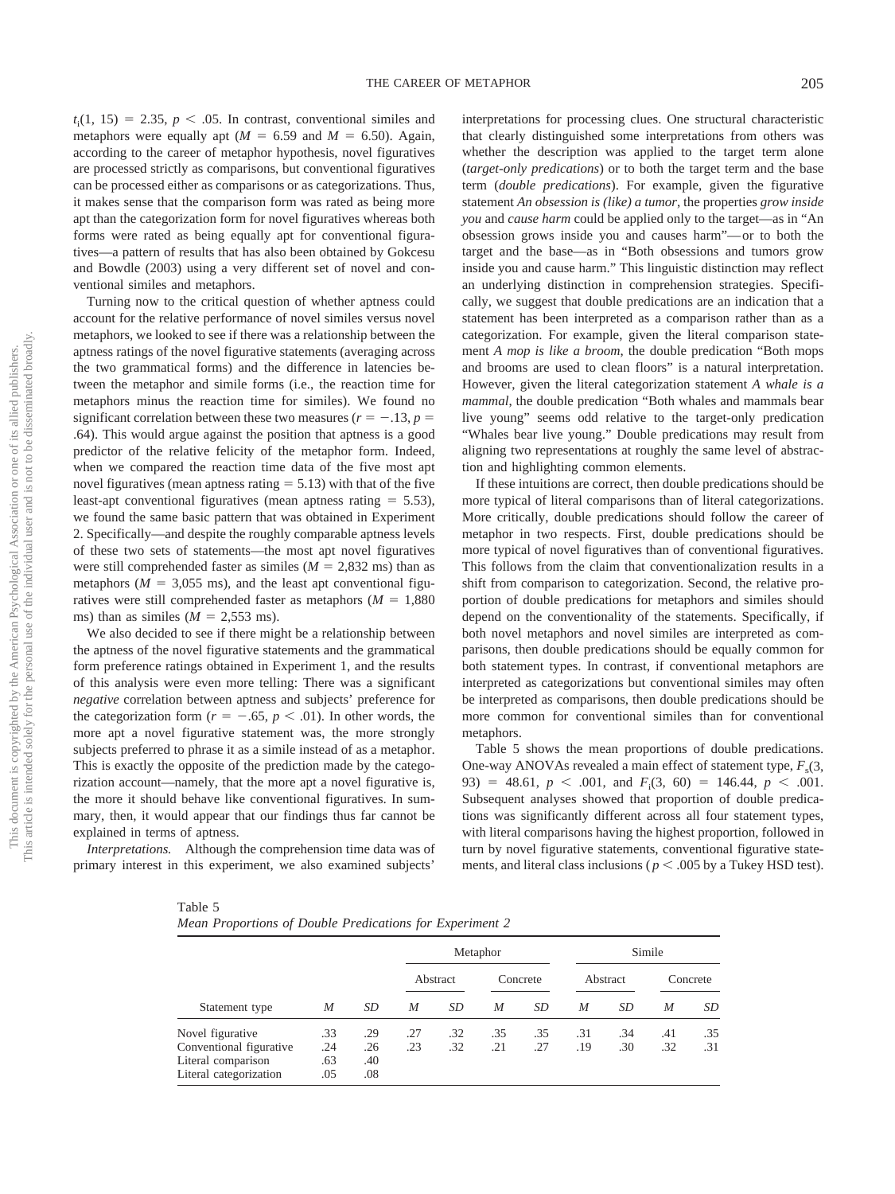$t_i(1, 15) = 2.35, p < .05$ . In contrast, conventional similes and metaphors were equally apt ( $M = 6.59$  and  $M = 6.50$ ). Again, according to the career of metaphor hypothesis, novel figuratives are processed strictly as comparisons, but conventional figuratives can be processed either as comparisons or as categorizations. Thus, it makes sense that the comparison form was rated as being more apt than the categorization form for novel figuratives whereas both forms were rated as being equally apt for conventional figuratives—a pattern of results that has also been obtained by Gokcesu and Bowdle (2003) using a very different set of novel and conventional similes and metaphors.

Turning now to the critical question of whether aptness could account for the relative performance of novel similes versus novel metaphors, we looked to see if there was a relationship between the aptness ratings of the novel figurative statements (averaging across the two grammatical forms) and the difference in latencies between the metaphor and simile forms (i.e., the reaction time for metaphors minus the reaction time for similes). We found no significant correlation between these two measures ( $r = -.13$ ,  $p =$ .64). This would argue against the position that aptness is a good predictor of the relative felicity of the metaphor form. Indeed, when we compared the reaction time data of the five most apt novel figuratives (mean aptness rating  $= 5.13$ ) with that of the five least-apt conventional figuratives (mean aptness rating  $= 5.53$ ), we found the same basic pattern that was obtained in Experiment 2. Specifically—and despite the roughly comparable aptness levels of these two sets of statements—the most apt novel figuratives were still comprehended faster as similes ( $M = 2,832$  ms) than as metaphors ( $M = 3,055$  ms), and the least apt conventional figuratives were still comprehended faster as metaphors  $(M = 1,880)$ ms) than as similes  $(M = 2,553 \text{ ms})$ .

We also decided to see if there might be a relationship between the aptness of the novel figurative statements and the grammatical form preference ratings obtained in Experiment 1, and the results of this analysis were even more telling: There was a significant *negative* correlation between aptness and subjects' preference for the categorization form ( $r = -.65$ ,  $p < .01$ ). In other words, the more apt a novel figurative statement was, the more strongly subjects preferred to phrase it as a simile instead of as a metaphor. This is exactly the opposite of the prediction made by the categorization account—namely, that the more apt a novel figurative is, the more it should behave like conventional figuratives. In summary, then, it would appear that our findings thus far cannot be explained in terms of aptness.

*Interpretations.* Although the comprehension time data was of primary interest in this experiment, we also examined subjects'

interpretations for processing clues. One structural characteristic that clearly distinguished some interpretations from others was whether the description was applied to the target term alone (*target-only predications*) or to both the target term and the base term (*double predications*). For example, given the figurative statement *An obsession is (like) a tumor*, the properties *grow inside you* and *cause harm* could be applied only to the target—as in "An obsession grows inside you and causes harm"— or to both the target and the base—as in "Both obsessions and tumors grow inside you and cause harm." This linguistic distinction may reflect an underlying distinction in comprehension strategies. Specifically, we suggest that double predications are an indication that a statement has been interpreted as a comparison rather than as a categorization. For example, given the literal comparison statement *A mop is like a broom*, the double predication "Both mops and brooms are used to clean floors" is a natural interpretation. However, given the literal categorization statement *A whale is a mammal*, the double predication "Both whales and mammals bear live young" seems odd relative to the target-only predication "Whales bear live young." Double predications may result from aligning two representations at roughly the same level of abstraction and highlighting common elements.

If these intuitions are correct, then double predications should be more typical of literal comparisons than of literal categorizations. More critically, double predications should follow the career of metaphor in two respects. First, double predications should be more typical of novel figuratives than of conventional figuratives. This follows from the claim that conventionalization results in a shift from comparison to categorization. Second, the relative proportion of double predications for metaphors and similes should depend on the conventionality of the statements. Specifically, if both novel metaphors and novel similes are interpreted as comparisons, then double predications should be equally common for both statement types. In contrast, if conventional metaphors are interpreted as categorizations but conventional similes may often be interpreted as comparisons, then double predications should be more common for conventional similes than for conventional metaphors.

Table 5 shows the mean proportions of double predications. One-way ANOVAs revealed a main effect of statement type,  $F_s(3, \mathbf{r})$ 93) = 48.61,  $p < .001$ , and  $F_i(3, 60) = 146.44$ ,  $p < .001$ . Subsequent analyses showed that proportion of double predications was significantly different across all four statement types, with literal comparisons having the highest proportion, followed in turn by novel figurative statements, conventional figurative statements, and literal class inclusions ( $p < .005$  by a Tukey HSD test).

| Table 5                                                  |  |
|----------------------------------------------------------|--|
| Mean Proportions of Double Predications for Experiment 2 |  |

|                                                                                             |                          |                          |            |            | Metaphor   |            |            |                 | Simile     |            |
|---------------------------------------------------------------------------------------------|--------------------------|--------------------------|------------|------------|------------|------------|------------|-----------------|------------|------------|
|                                                                                             |                          |                          |            | Abstract   |            | Concrete   |            | <b>Abstract</b> |            | Concrete   |
| Statement type                                                                              | M                        | SD                       | M          | SD         | M          | SD         | M          | SD              | M          | SD         |
| Novel figurative<br>Conventional figurative<br>Literal comparison<br>Literal categorization | .33<br>.24<br>.63<br>.05 | .29<br>.26<br>.40<br>.08 | .27<br>.23 | .32<br>.32 | .35<br>.21 | .35<br>.27 | .31<br>.19 | .34<br>.30      | .41<br>.32 | .35<br>.31 |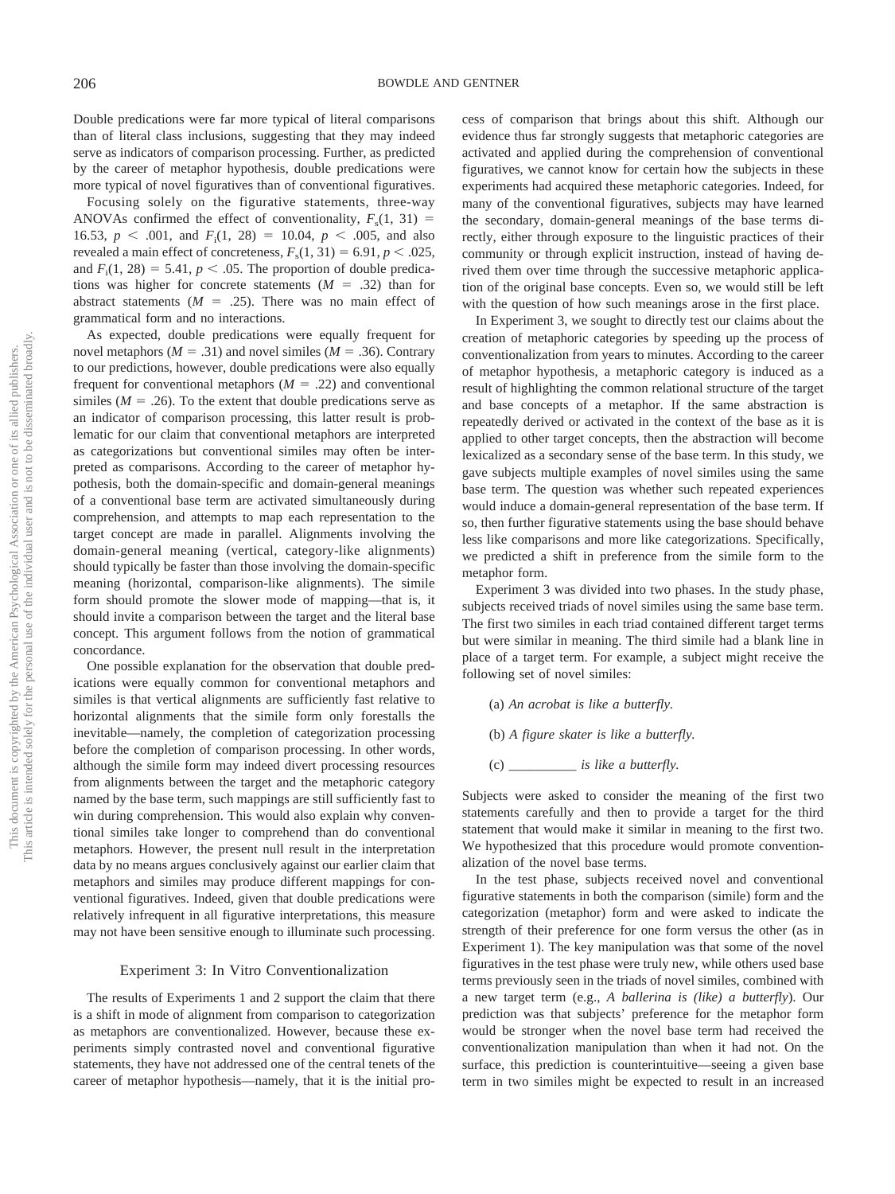Double predications were far more typical of literal comparisons than of literal class inclusions, suggesting that they may indeed serve as indicators of comparison processing. Further, as predicted by the career of metaphor hypothesis, double predications were more typical of novel figuratives than of conventional figuratives.

Focusing solely on the figurative statements, three-way ANOVAs confirmed the effect of conventionality,  $F_s(1, 31)$  = 16.53,  $p < .001$ , and  $F_1(1, 28) = 10.04$ ,  $p < .005$ , and also revealed a main effect of concreteness,  $F_s(1, 31) = 6.91, p < .025$ , and  $F_i(1, 28) = 5.41$ ,  $p < .05$ . The proportion of double predications was higher for concrete statements  $(M = .32)$  than for abstract statements  $(M = .25)$ . There was no main effect of grammatical form and no interactions.

As expected, double predications were equally frequent for novel metaphors ( $M = .31$ ) and novel similes ( $M = .36$ ). Contrary to our predictions, however, double predications were also equally frequent for conventional metaphors  $(M = .22)$  and conventional similes ( $M = .26$ ). To the extent that double predications serve as an indicator of comparison processing, this latter result is problematic for our claim that conventional metaphors are interpreted as categorizations but conventional similes may often be interpreted as comparisons. According to the career of metaphor hypothesis, both the domain-specific and domain-general meanings of a conventional base term are activated simultaneously during comprehension, and attempts to map each representation to the target concept are made in parallel. Alignments involving the domain-general meaning (vertical, category-like alignments) should typically be faster than those involving the domain-specific meaning (horizontal, comparison-like alignments). The simile form should promote the slower mode of mapping—that is, it should invite a comparison between the target and the literal base concept. This argument follows from the notion of grammatical concordance.

One possible explanation for the observation that double predications were equally common for conventional metaphors and similes is that vertical alignments are sufficiently fast relative to horizontal alignments that the simile form only forestalls the inevitable—namely, the completion of categorization processing before the completion of comparison processing. In other words, although the simile form may indeed divert processing resources from alignments between the target and the metaphoric category named by the base term, such mappings are still sufficiently fast to win during comprehension. This would also explain why conventional similes take longer to comprehend than do conventional metaphors. However, the present null result in the interpretation data by no means argues conclusively against our earlier claim that metaphors and similes may produce different mappings for conventional figuratives. Indeed, given that double predications were relatively infrequent in all figurative interpretations, this measure may not have been sensitive enough to illuminate such processing.

#### Experiment 3: In Vitro Conventionalization

The results of Experiments 1 and 2 support the claim that there is a shift in mode of alignment from comparison to categorization as metaphors are conventionalized. However, because these experiments simply contrasted novel and conventional figurative statements, they have not addressed one of the central tenets of the career of metaphor hypothesis—namely, that it is the initial process of comparison that brings about this shift. Although our evidence thus far strongly suggests that metaphoric categories are activated and applied during the comprehension of conventional figuratives, we cannot know for certain how the subjects in these experiments had acquired these metaphoric categories. Indeed, for many of the conventional figuratives, subjects may have learned the secondary, domain-general meanings of the base terms directly, either through exposure to the linguistic practices of their community or through explicit instruction, instead of having derived them over time through the successive metaphoric application of the original base concepts. Even so, we would still be left with the question of how such meanings arose in the first place.

In Experiment 3, we sought to directly test our claims about the creation of metaphoric categories by speeding up the process of conventionalization from years to minutes. According to the career of metaphor hypothesis, a metaphoric category is induced as a result of highlighting the common relational structure of the target and base concepts of a metaphor. If the same abstraction is repeatedly derived or activated in the context of the base as it is applied to other target concepts, then the abstraction will become lexicalized as a secondary sense of the base term. In this study, we gave subjects multiple examples of novel similes using the same base term. The question was whether such repeated experiences would induce a domain-general representation of the base term. If so, then further figurative statements using the base should behave less like comparisons and more like categorizations. Specifically, we predicted a shift in preference from the simile form to the metaphor form.

Experiment 3 was divided into two phases. In the study phase, subjects received triads of novel similes using the same base term. The first two similes in each triad contained different target terms but were similar in meaning. The third simile had a blank line in place of a target term. For example, a subject might receive the following set of novel similes:

(a) *An acrobat is like a butterfly.*

(b) *A figure skater is like a butterfly.*

(c) *\_\_\_\_\_\_\_\_\_\_ is like a butterfly.*

Subjects were asked to consider the meaning of the first two statements carefully and then to provide a target for the third statement that would make it similar in meaning to the first two. We hypothesized that this procedure would promote conventionalization of the novel base terms.

In the test phase, subjects received novel and conventional figurative statements in both the comparison (simile) form and the categorization (metaphor) form and were asked to indicate the strength of their preference for one form versus the other (as in Experiment 1). The key manipulation was that some of the novel figuratives in the test phase were truly new, while others used base terms previously seen in the triads of novel similes, combined with a new target term (e.g., *A ballerina is (like) a butterfly*). Our prediction was that subjects' preference for the metaphor form would be stronger when the novel base term had received the conventionalization manipulation than when it had not. On the surface, this prediction is counterintuitive—seeing a given base term in two similes might be expected to result in an increased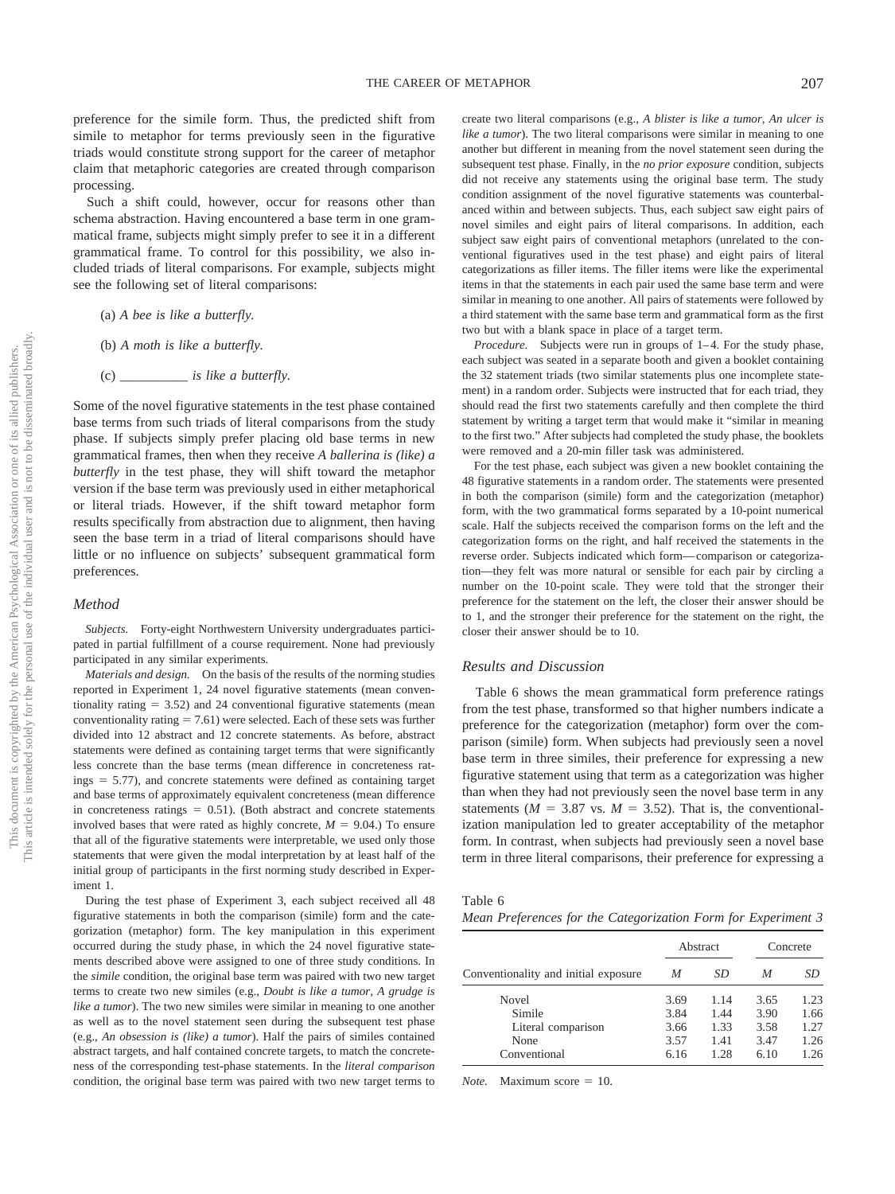preference for the simile form. Thus, the predicted shift from simile to metaphor for terms previously seen in the figurative triads would constitute strong support for the career of metaphor claim that metaphoric categories are created through comparison processing.

Such a shift could, however, occur for reasons other than schema abstraction. Having encountered a base term in one grammatical frame, subjects might simply prefer to see it in a different grammatical frame. To control for this possibility, we also included triads of literal comparisons. For example, subjects might see the following set of literal comparisons:

- (a) *A bee is like a butterfly.*
- (b) *A moth is like a butterfly.*
- (c) *\_\_\_\_\_\_\_\_\_\_ is like a butterfly.*

Some of the novel figurative statements in the test phase contained base terms from such triads of literal comparisons from the study phase. If subjects simply prefer placing old base terms in new grammatical frames, then when they receive *A ballerina is (like) a butterfly* in the test phase, they will shift toward the metaphor version if the base term was previously used in either metaphorical or literal triads. However, if the shift toward metaphor form results specifically from abstraction due to alignment, then having seen the base term in a triad of literal comparisons should have little or no influence on subjects' subsequent grammatical form preferences.

#### *Method*

*Subjects.* Forty-eight Northwestern University undergraduates participated in partial fulfillment of a course requirement. None had previously participated in any similar experiments.

*Materials and design.* On the basis of the results of the norming studies reported in Experiment 1, 24 novel figurative statements (mean conventionality rating  $= 3.52$ ) and 24 conventional figurative statements (mean conventionality rating  $= 7.61$ ) were selected. Each of these sets was further divided into 12 abstract and 12 concrete statements. As before, abstract statements were defined as containing target terms that were significantly less concrete than the base terms (mean difference in concreteness rat $ings = 5.77$ , and concrete statements were defined as containing target and base terms of approximately equivalent concreteness (mean difference in concreteness ratings  $= 0.51$ ). (Both abstract and concrete statements involved bases that were rated as highly concrete,  $M = 9.04$ .) To ensure that all of the figurative statements were interpretable, we used only those statements that were given the modal interpretation by at least half of the initial group of participants in the first norming study described in Experiment 1.

During the test phase of Experiment 3, each subject received all 48 figurative statements in both the comparison (simile) form and the categorization (metaphor) form. The key manipulation in this experiment occurred during the study phase, in which the 24 novel figurative statements described above were assigned to one of three study conditions. In the *simile* condition, the original base term was paired with two new target terms to create two new similes (e.g., *Doubt is like a tumor*, *A grudge is like a tumor*). The two new similes were similar in meaning to one another as well as to the novel statement seen during the subsequent test phase (e.g., *An obsession is (like) a tumor*). Half the pairs of similes contained abstract targets, and half contained concrete targets, to match the concreteness of the corresponding test-phase statements. In the *literal comparison* condition, the original base term was paired with two new target terms to create two literal comparisons (e.g., *A blister is like a tumor*, *An ulcer is like a tumor*). The two literal comparisons were similar in meaning to one another but different in meaning from the novel statement seen during the subsequent test phase. Finally, in the *no prior exposure* condition, subjects did not receive any statements using the original base term. The study condition assignment of the novel figurative statements was counterbalanced within and between subjects. Thus, each subject saw eight pairs of novel similes and eight pairs of literal comparisons. In addition, each subject saw eight pairs of conventional metaphors (unrelated to the conventional figuratives used in the test phase) and eight pairs of literal categorizations as filler items. The filler items were like the experimental items in that the statements in each pair used the same base term and were similar in meaning to one another. All pairs of statements were followed by a third statement with the same base term and grammatical form as the first two but with a blank space in place of a target term.

*Procedure.* Subjects were run in groups of 1-4. For the study phase, each subject was seated in a separate booth and given a booklet containing the 32 statement triads (two similar statements plus one incomplete statement) in a random order. Subjects were instructed that for each triad, they should read the first two statements carefully and then complete the third statement by writing a target term that would make it "similar in meaning to the first two." After subjects had completed the study phase, the booklets were removed and a 20-min filler task was administered.

For the test phase, each subject was given a new booklet containing the 48 figurative statements in a random order. The statements were presented in both the comparison (simile) form and the categorization (metaphor) form, with the two grammatical forms separated by a 10-point numerical scale. Half the subjects received the comparison forms on the left and the categorization forms on the right, and half received the statements in the reverse order. Subjects indicated which form— comparison or categorization—they felt was more natural or sensible for each pair by circling a number on the 10-point scale. They were told that the stronger their preference for the statement on the left, the closer their answer should be to 1, and the stronger their preference for the statement on the right, the closer their answer should be to 10.

#### *Results and Discussion*

Table 6 shows the mean grammatical form preference ratings from the test phase, transformed so that higher numbers indicate a preference for the categorization (metaphor) form over the comparison (simile) form. When subjects had previously seen a novel base term in three similes, their preference for expressing a new figurative statement using that term as a categorization was higher than when they had not previously seen the novel base term in any statements ( $M = 3.87$  vs.  $M = 3.52$ ). That is, the conventionalization manipulation led to greater acceptability of the metaphor form. In contrast, when subjects had previously seen a novel base term in three literal comparisons, their preference for expressing a

| Table 6 |  |                                                               |  |  |
|---------|--|---------------------------------------------------------------|--|--|
|         |  | Mean Preferences for the Categorization Form for Experiment 3 |  |  |

|                                      |      | Abstract | Concrete |      |  |
|--------------------------------------|------|----------|----------|------|--|
| Conventionality and initial exposure | M    | SD       | M        | SD   |  |
| Novel                                | 3.69 | 1.14     | 3.65     | 1.23 |  |
| Simile                               | 3.84 | 1.44     | 3.90     | 1.66 |  |
| Literal comparison                   | 3.66 | 1.33     | 3.58     | 1.27 |  |
| None                                 | 3.57 | 1.41     | 3.47     | 1.26 |  |
| Conventional                         | 6.16 | 1.28     | 6.10     | 1.26 |  |

*Note.* Maximum score  $= 10$ .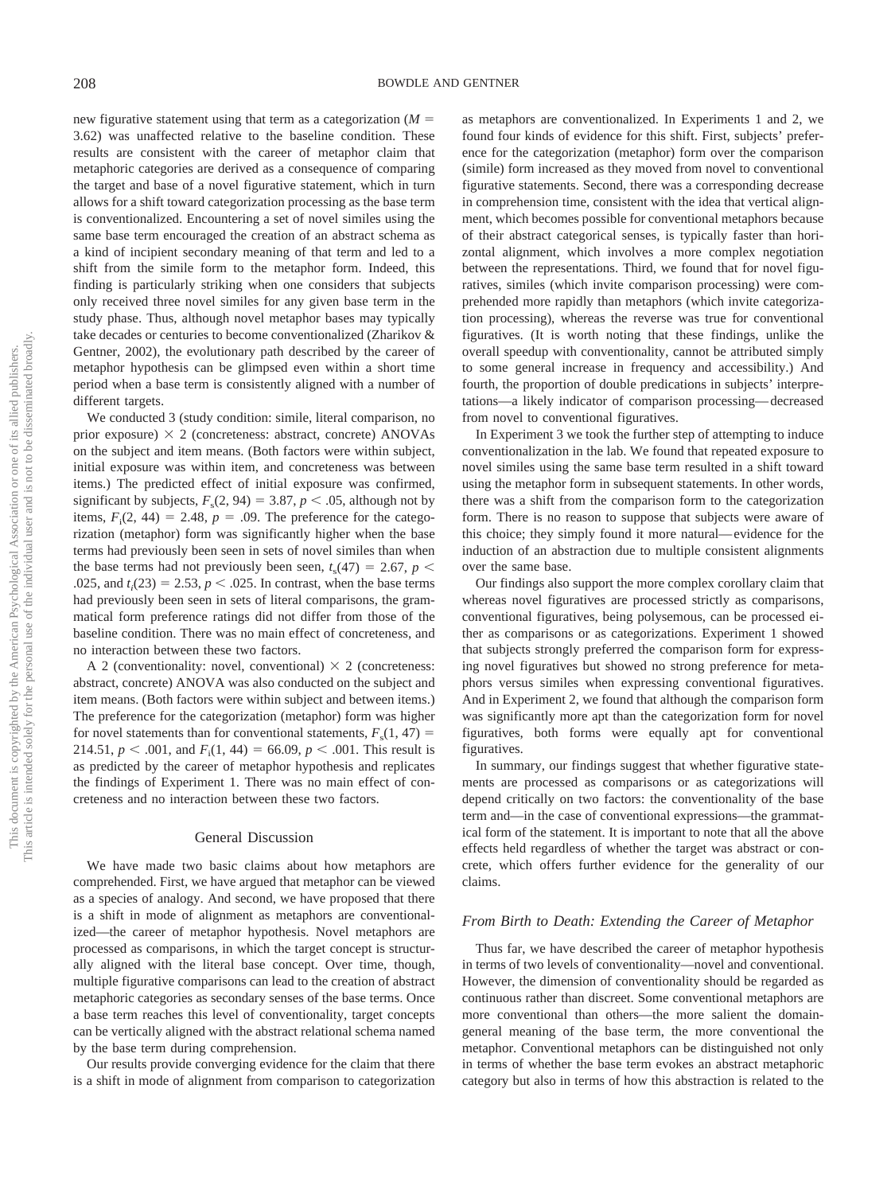new figurative statement using that term as a categorization (*M* 3.62) was unaffected relative to the baseline condition. These results are consistent with the career of metaphor claim that metaphoric categories are derived as a consequence of comparing the target and base of a novel figurative statement, which in turn allows for a shift toward categorization processing as the base term is conventionalized. Encountering a set of novel similes using the same base term encouraged the creation of an abstract schema as a kind of incipient secondary meaning of that term and led to a shift from the simile form to the metaphor form. Indeed, this finding is particularly striking when one considers that subjects only received three novel similes for any given base term in the study phase. Thus, although novel metaphor bases may typically take decades or centuries to become conventionalized (Zharikov & Gentner, 2002), the evolutionary path described by the career of metaphor hypothesis can be glimpsed even within a short time period when a base term is consistently aligned with a number of different targets.

We conducted 3 (study condition: simile, literal comparison, no prior exposure)  $\times$  2 (concreteness: abstract, concrete) ANOVAs on the subject and item means. (Both factors were within subject, initial exposure was within item, and concreteness was between items.) The predicted effect of initial exposure was confirmed, significant by subjects,  $F_s(2, 94) = 3.87, p < .05$ , although not by items,  $F_i(2, 44) = 2.48$ ,  $p = .09$ . The preference for the categorization (metaphor) form was significantly higher when the base terms had previously been seen in sets of novel similes than when the base terms had not previously been seen,  $t_s(47) = 2.67$ ,  $p <$ .025, and  $t_i(23) = 2.53$ ,  $p < .025$ . In contrast, when the base terms had previously been seen in sets of literal comparisons, the grammatical form preference ratings did not differ from those of the baseline condition. There was no main effect of concreteness, and no interaction between these two factors.

A 2 (conventionality: novel, conventional)  $\times$  2 (concreteness: abstract, concrete) ANOVA was also conducted on the subject and item means. (Both factors were within subject and between items.) The preference for the categorization (metaphor) form was higher for novel statements than for conventional statements,  $F_s(1, 47)$  = 214.51,  $p < .001$ , and  $F_i(1, 44) = 66.09$ ,  $p < .001$ . This result is as predicted by the career of metaphor hypothesis and replicates the findings of Experiment 1. There was no main effect of concreteness and no interaction between these two factors.

#### General Discussion

We have made two basic claims about how metaphors are comprehended. First, we have argued that metaphor can be viewed as a species of analogy. And second, we have proposed that there is a shift in mode of alignment as metaphors are conventionalized—the career of metaphor hypothesis. Novel metaphors are processed as comparisons, in which the target concept is structurally aligned with the literal base concept. Over time, though, multiple figurative comparisons can lead to the creation of abstract metaphoric categories as secondary senses of the base terms. Once a base term reaches this level of conventionality, target concepts can be vertically aligned with the abstract relational schema named by the base term during comprehension.

Our results provide converging evidence for the claim that there is a shift in mode of alignment from comparison to categorization as metaphors are conventionalized. In Experiments 1 and 2, we found four kinds of evidence for this shift. First, subjects' preference for the categorization (metaphor) form over the comparison (simile) form increased as they moved from novel to conventional figurative statements. Second, there was a corresponding decrease in comprehension time, consistent with the idea that vertical alignment, which becomes possible for conventional metaphors because of their abstract categorical senses, is typically faster than horizontal alignment, which involves a more complex negotiation between the representations. Third, we found that for novel figuratives, similes (which invite comparison processing) were comprehended more rapidly than metaphors (which invite categorization processing), whereas the reverse was true for conventional figuratives. (It is worth noting that these findings, unlike the overall speedup with conventionality, cannot be attributed simply to some general increase in frequency and accessibility.) And fourth, the proportion of double predications in subjects' interpretations—a likely indicator of comparison processing— decreased from novel to conventional figuratives.

In Experiment 3 we took the further step of attempting to induce conventionalization in the lab. We found that repeated exposure to novel similes using the same base term resulted in a shift toward using the metaphor form in subsequent statements. In other words, there was a shift from the comparison form to the categorization form. There is no reason to suppose that subjects were aware of this choice; they simply found it more natural— evidence for the induction of an abstraction due to multiple consistent alignments over the same base.

Our findings also support the more complex corollary claim that whereas novel figuratives are processed strictly as comparisons, conventional figuratives, being polysemous, can be processed either as comparisons or as categorizations. Experiment 1 showed that subjects strongly preferred the comparison form for expressing novel figuratives but showed no strong preference for metaphors versus similes when expressing conventional figuratives. And in Experiment 2, we found that although the comparison form was significantly more apt than the categorization form for novel figuratives, both forms were equally apt for conventional figuratives.

In summary, our findings suggest that whether figurative statements are processed as comparisons or as categorizations will depend critically on two factors: the conventionality of the base term and—in the case of conventional expressions—the grammatical form of the statement. It is important to note that all the above effects held regardless of whether the target was abstract or concrete, which offers further evidence for the generality of our claims.

# *From Birth to Death: Extending the Career of Metaphor*

Thus far, we have described the career of metaphor hypothesis in terms of two levels of conventionality—novel and conventional. However, the dimension of conventionality should be regarded as continuous rather than discreet. Some conventional metaphors are more conventional than others—the more salient the domaingeneral meaning of the base term, the more conventional the metaphor. Conventional metaphors can be distinguished not only in terms of whether the base term evokes an abstract metaphoric category but also in terms of how this abstraction is related to the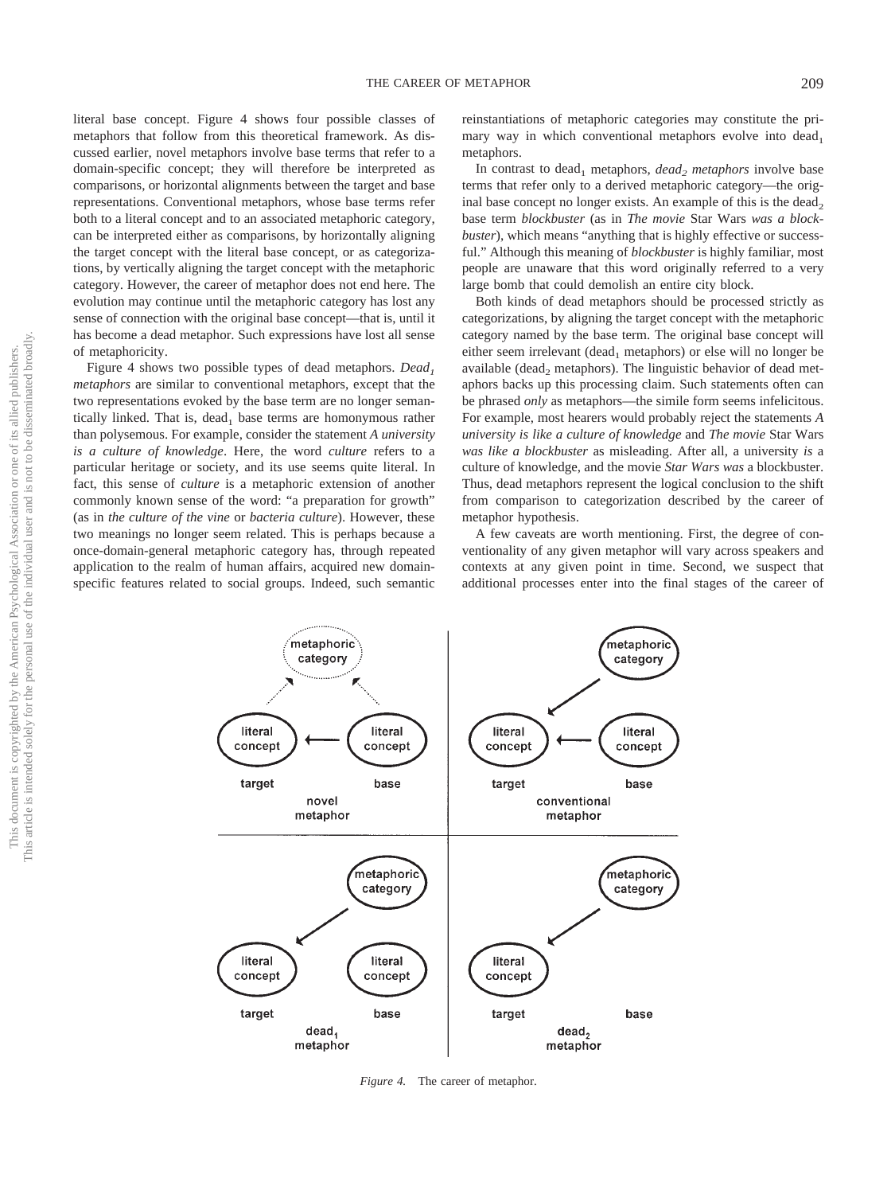literal base concept. Figure 4 shows four possible classes of metaphors that follow from this theoretical framework. As discussed earlier, novel metaphors involve base terms that refer to a domain-specific concept; they will therefore be interpreted as comparisons, or horizontal alignments between the target and base representations. Conventional metaphors, whose base terms refer both to a literal concept and to an associated metaphoric category, can be interpreted either as comparisons, by horizontally aligning the target concept with the literal base concept, or as categorizations, by vertically aligning the target concept with the metaphoric category. However, the career of metaphor does not end here. The evolution may continue until the metaphoric category has lost any sense of connection with the original base concept—that is, until it has become a dead metaphor. Such expressions have lost all sense of metaphoricity.

Figure 4 shows two possible types of dead metaphors. *Dead<sub>1</sub> metaphors* are similar to conventional metaphors, except that the two representations evoked by the base term are no longer semantically linked. That is, dead, base terms are homonymous rather than polysemous. For example, consider the statement *A university is a culture of knowledge*. Here, the word *culture* refers to a particular heritage or society, and its use seems quite literal. In fact, this sense of *culture* is a metaphoric extension of another commonly known sense of the word: "a preparation for growth" (as in *the culture of the vine* or *bacteria culture*). However, these two meanings no longer seem related. This is perhaps because a once-domain-general metaphoric category has, through repeated application to the realm of human affairs, acquired new domainspecific features related to social groups. Indeed, such semantic

reinstantiations of metaphoric categories may constitute the primary way in which conventional metaphors evolve into dead. metaphors.

In contrast to dead<sub>1</sub> metaphors, *dead<sub>2</sub> metaphors* involve base terms that refer only to a derived metaphoric category—the original base concept no longer exists. An example of this is the dead, base term *blockbuster* (as in *The movie* Star Wars *was a blockbuster*), which means "anything that is highly effective or successful." Although this meaning of *blockbuster* is highly familiar, most people are unaware that this word originally referred to a very large bomb that could demolish an entire city block.

Both kinds of dead metaphors should be processed strictly as categorizations, by aligning the target concept with the metaphoric category named by the base term. The original base concept will either seem irrelevant (dead<sub>1</sub> metaphors) or else will no longer be available (dead<sub>2</sub> metaphors). The linguistic behavior of dead metaphors backs up this processing claim. Such statements often can be phrased *only* as metaphors—the simile form seems infelicitous. For example, most hearers would probably reject the statements *A university is like a culture of knowledge* and *The movie* Star Wars *was like a blockbuster* as misleading. After all, a university *is* a culture of knowledge, and the movie *Star Wars was* a blockbuster. Thus, dead metaphors represent the logical conclusion to the shift from comparison to categorization described by the career of metaphor hypothesis.

A few caveats are worth mentioning. First, the degree of conventionality of any given metaphor will vary across speakers and contexts at any given point in time. Second, we suspect that additional processes enter into the final stages of the career of



*Figure 4.* The career of metaphor.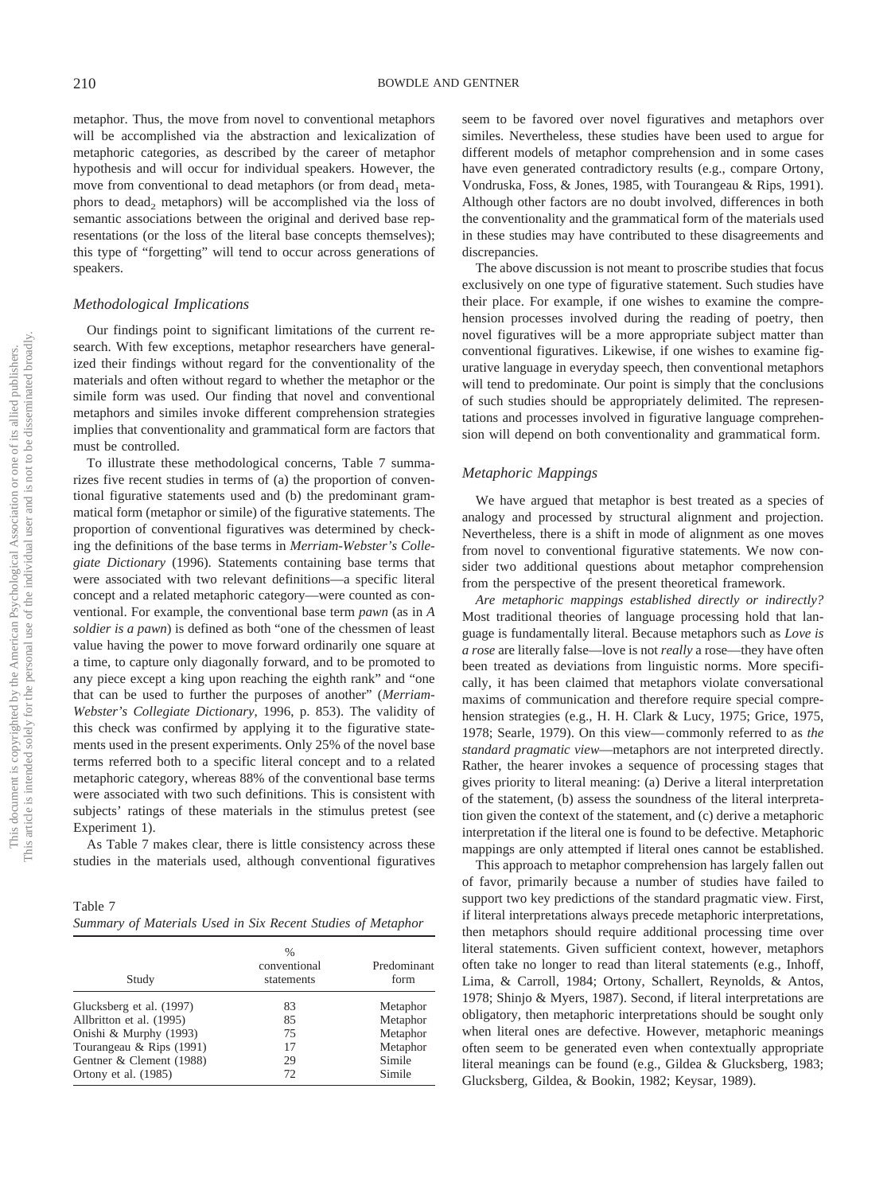metaphor. Thus, the move from novel to conventional metaphors will be accomplished via the abstraction and lexicalization of metaphoric categories, as described by the career of metaphor hypothesis and will occur for individual speakers. However, the move from conventional to dead metaphors (or from dead<sub>1</sub> metaphors to dead<sub>2</sub> metaphors) will be accomplished via the loss of semantic associations between the original and derived base representations (or the loss of the literal base concepts themselves); this type of "forgetting" will tend to occur across generations of speakers.

## *Methodological Implications*

Our findings point to significant limitations of the current research. With few exceptions, metaphor researchers have generalized their findings without regard for the conventionality of the materials and often without regard to whether the metaphor or the simile form was used. Our finding that novel and conventional metaphors and similes invoke different comprehension strategies implies that conventionality and grammatical form are factors that must be controlled.

To illustrate these methodological concerns, Table 7 summarizes five recent studies in terms of (a) the proportion of conventional figurative statements used and (b) the predominant grammatical form (metaphor or simile) of the figurative statements. The proportion of conventional figuratives was determined by checking the definitions of the base terms in *Merriam-Webster's Collegiate Dictionary* (1996). Statements containing base terms that were associated with two relevant definitions—a specific literal concept and a related metaphoric category—were counted as conventional. For example, the conventional base term *pawn* (as in *A soldier is a pawn*) is defined as both "one of the chessmen of least value having the power to move forward ordinarily one square at a time, to capture only diagonally forward, and to be promoted to any piece except a king upon reaching the eighth rank" and "one that can be used to further the purposes of another" (*Merriam-Webster's Collegiate Dictionary*, 1996, p. 853). The validity of this check was confirmed by applying it to the figurative statements used in the present experiments. Only 25% of the novel base terms referred both to a specific literal concept and to a related metaphoric category, whereas 88% of the conventional base terms were associated with two such definitions. This is consistent with subjects' ratings of these materials in the stimulus pretest (see Experiment 1).

As Table 7 makes clear, there is little consistency across these studies in the materials used, although conventional figuratives

Table 7 *Summary of Materials Used in Six Recent Studies of Metaphor*

| Study                    | $\frac{0}{0}$<br>conventional<br>statements | Predominant<br>form |
|--------------------------|---------------------------------------------|---------------------|
| Glucksberg et al. (1997) | 83                                          | Metaphor            |
| Allbritton et al. (1995) | 85                                          | Metaphor            |
| Onishi & Murphy (1993)   | 75                                          | Metaphor            |
| Tourangeau & Rips (1991) | 17                                          | Metaphor            |
| Gentner & Clement (1988) | 29                                          | Simile              |
| Ortony et al. (1985)     | 72                                          | Simile              |

seem to be favored over novel figuratives and metaphors over similes. Nevertheless, these studies have been used to argue for different models of metaphor comprehension and in some cases have even generated contradictory results (e.g., compare Ortony, Vondruska, Foss, & Jones, 1985, with Tourangeau & Rips, 1991). Although other factors are no doubt involved, differences in both the conventionality and the grammatical form of the materials used in these studies may have contributed to these disagreements and discrepancies.

The above discussion is not meant to proscribe studies that focus exclusively on one type of figurative statement. Such studies have their place. For example, if one wishes to examine the comprehension processes involved during the reading of poetry, then novel figuratives will be a more appropriate subject matter than conventional figuratives. Likewise, if one wishes to examine figurative language in everyday speech, then conventional metaphors will tend to predominate. Our point is simply that the conclusions of such studies should be appropriately delimited. The representations and processes involved in figurative language comprehension will depend on both conventionality and grammatical form.

# *Metaphoric Mappings*

We have argued that metaphor is best treated as a species of analogy and processed by structural alignment and projection. Nevertheless, there is a shift in mode of alignment as one moves from novel to conventional figurative statements. We now consider two additional questions about metaphor comprehension from the perspective of the present theoretical framework.

*Are metaphoric mappings established directly or indirectly?* Most traditional theories of language processing hold that language is fundamentally literal. Because metaphors such as *Love is a rose* are literally false—love is not *really* a rose—they have often been treated as deviations from linguistic norms. More specifically, it has been claimed that metaphors violate conversational maxims of communication and therefore require special comprehension strategies (e.g., H. H. Clark & Lucy, 1975; Grice, 1975, 1978; Searle, 1979). On this view— commonly referred to as *the standard pragmatic view*—metaphors are not interpreted directly. Rather, the hearer invokes a sequence of processing stages that gives priority to literal meaning: (a) Derive a literal interpretation of the statement, (b) assess the soundness of the literal interpretation given the context of the statement, and (c) derive a metaphoric interpretation if the literal one is found to be defective. Metaphoric mappings are only attempted if literal ones cannot be established.

This approach to metaphor comprehension has largely fallen out of favor, primarily because a number of studies have failed to support two key predictions of the standard pragmatic view. First, if literal interpretations always precede metaphoric interpretations, then metaphors should require additional processing time over literal statements. Given sufficient context, however, metaphors often take no longer to read than literal statements (e.g., Inhoff, Lima, & Carroll, 1984; Ortony, Schallert, Reynolds, & Antos, 1978; Shinjo & Myers, 1987). Second, if literal interpretations are obligatory, then metaphoric interpretations should be sought only when literal ones are defective. However, metaphoric meanings often seem to be generated even when contextually appropriate literal meanings can be found (e.g., Gildea & Glucksberg, 1983; Glucksberg, Gildea, & Bookin, 1982; Keysar, 1989).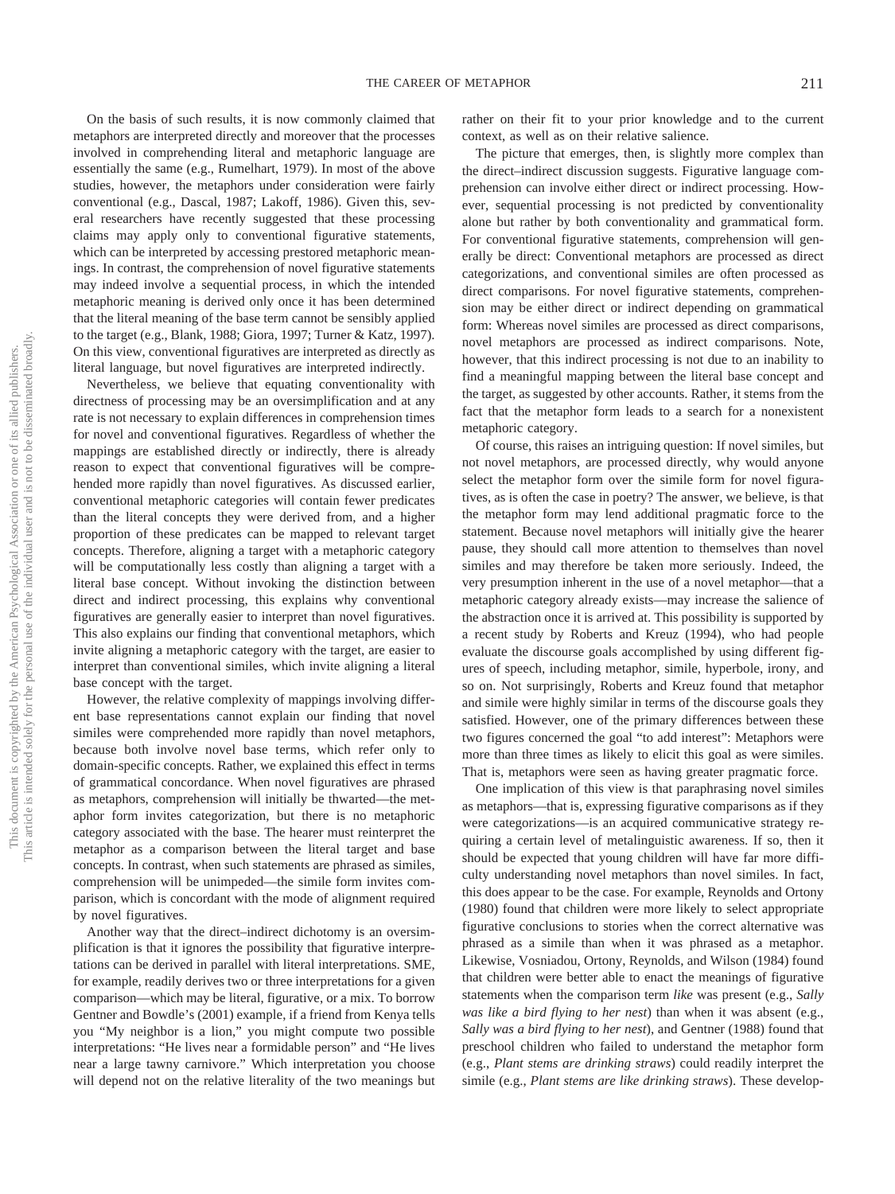On the basis of such results, it is now commonly claimed that metaphors are interpreted directly and moreover that the processes involved in comprehending literal and metaphoric language are essentially the same (e.g., Rumelhart, 1979). In most of the above studies, however, the metaphors under consideration were fairly conventional (e.g., Dascal, 1987; Lakoff, 1986). Given this, several researchers have recently suggested that these processing claims may apply only to conventional figurative statements, which can be interpreted by accessing prestored metaphoric meanings. In contrast, the comprehension of novel figurative statements may indeed involve a sequential process, in which the intended metaphoric meaning is derived only once it has been determined that the literal meaning of the base term cannot be sensibly applied to the target (e.g., Blank, 1988; Giora, 1997; Turner & Katz, 1997). On this view, conventional figuratives are interpreted as directly as literal language, but novel figuratives are interpreted indirectly.

Nevertheless, we believe that equating conventionality with directness of processing may be an oversimplification and at any rate is not necessary to explain differences in comprehension times for novel and conventional figuratives. Regardless of whether the mappings are established directly or indirectly, there is already reason to expect that conventional figuratives will be comprehended more rapidly than novel figuratives. As discussed earlier, conventional metaphoric categories will contain fewer predicates than the literal concepts they were derived from, and a higher proportion of these predicates can be mapped to relevant target concepts. Therefore, aligning a target with a metaphoric category will be computationally less costly than aligning a target with a literal base concept. Without invoking the distinction between direct and indirect processing, this explains why conventional figuratives are generally easier to interpret than novel figuratives. This also explains our finding that conventional metaphors, which invite aligning a metaphoric category with the target, are easier to interpret than conventional similes, which invite aligning a literal base concept with the target.

However, the relative complexity of mappings involving different base representations cannot explain our finding that novel similes were comprehended more rapidly than novel metaphors, because both involve novel base terms, which refer only to domain-specific concepts. Rather, we explained this effect in terms of grammatical concordance. When novel figuratives are phrased as metaphors, comprehension will initially be thwarted—the metaphor form invites categorization, but there is no metaphoric category associated with the base. The hearer must reinterpret the metaphor as a comparison between the literal target and base concepts. In contrast, when such statements are phrased as similes, comprehension will be unimpeded—the simile form invites comparison, which is concordant with the mode of alignment required by novel figuratives.

Another way that the direct–indirect dichotomy is an oversimplification is that it ignores the possibility that figurative interpretations can be derived in parallel with literal interpretations. SME, for example, readily derives two or three interpretations for a given comparison—which may be literal, figurative, or a mix. To borrow Gentner and Bowdle's (2001) example, if a friend from Kenya tells you "My neighbor is a lion," you might compute two possible interpretations: "He lives near a formidable person" and "He lives near a large tawny carnivore." Which interpretation you choose will depend not on the relative literality of the two meanings but rather on their fit to your prior knowledge and to the current context, as well as on their relative salience.

The picture that emerges, then, is slightly more complex than the direct–indirect discussion suggests. Figurative language comprehension can involve either direct or indirect processing. However, sequential processing is not predicted by conventionality alone but rather by both conventionality and grammatical form. For conventional figurative statements, comprehension will generally be direct: Conventional metaphors are processed as direct categorizations, and conventional similes are often processed as direct comparisons. For novel figurative statements, comprehension may be either direct or indirect depending on grammatical form: Whereas novel similes are processed as direct comparisons, novel metaphors are processed as indirect comparisons. Note, however, that this indirect processing is not due to an inability to find a meaningful mapping between the literal base concept and the target, as suggested by other accounts. Rather, it stems from the fact that the metaphor form leads to a search for a nonexistent metaphoric category.

Of course, this raises an intriguing question: If novel similes, but not novel metaphors, are processed directly, why would anyone select the metaphor form over the simile form for novel figuratives, as is often the case in poetry? The answer, we believe, is that the metaphor form may lend additional pragmatic force to the statement. Because novel metaphors will initially give the hearer pause, they should call more attention to themselves than novel similes and may therefore be taken more seriously. Indeed, the very presumption inherent in the use of a novel metaphor—that a metaphoric category already exists—may increase the salience of the abstraction once it is arrived at. This possibility is supported by a recent study by Roberts and Kreuz (1994), who had people evaluate the discourse goals accomplished by using different figures of speech, including metaphor, simile, hyperbole, irony, and so on. Not surprisingly, Roberts and Kreuz found that metaphor and simile were highly similar in terms of the discourse goals they satisfied. However, one of the primary differences between these two figures concerned the goal "to add interest": Metaphors were more than three times as likely to elicit this goal as were similes. That is, metaphors were seen as having greater pragmatic force.

One implication of this view is that paraphrasing novel similes as metaphors—that is, expressing figurative comparisons as if they were categorizations—is an acquired communicative strategy requiring a certain level of metalinguistic awareness. If so, then it should be expected that young children will have far more difficulty understanding novel metaphors than novel similes. In fact, this does appear to be the case. For example, Reynolds and Ortony (1980) found that children were more likely to select appropriate figurative conclusions to stories when the correct alternative was phrased as a simile than when it was phrased as a metaphor. Likewise, Vosniadou, Ortony, Reynolds, and Wilson (1984) found that children were better able to enact the meanings of figurative statements when the comparison term *like* was present (e.g., *Sally was like a bird flying to her nest*) than when it was absent (e.g., *Sally was a bird flying to her nest*), and Gentner (1988) found that preschool children who failed to understand the metaphor form (e.g., *Plant stems are drinking straws*) could readily interpret the simile (e.g., *Plant stems are like drinking straws*). These develop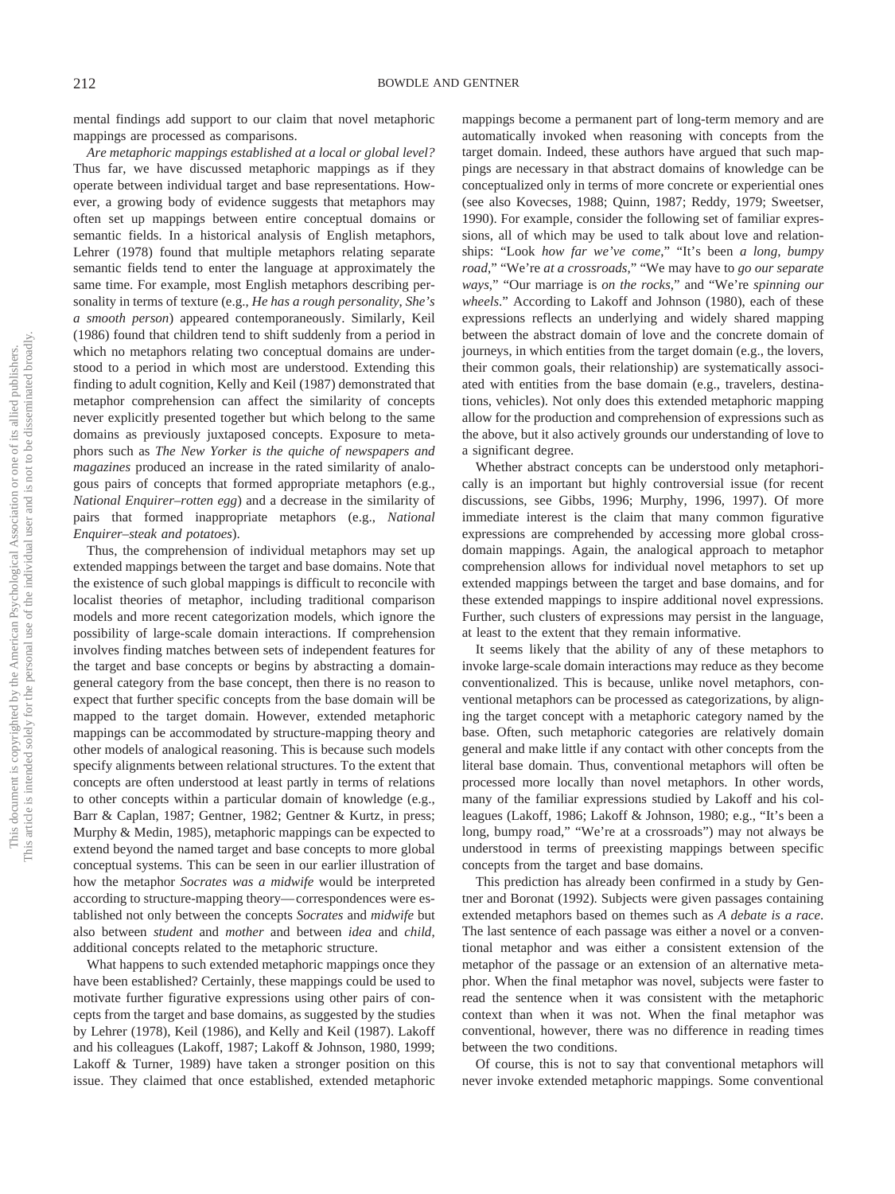mental findings add support to our claim that novel metaphoric mappings are processed as comparisons.

*Are metaphoric mappings established at a local or global level?* Thus far, we have discussed metaphoric mappings as if they operate between individual target and base representations. However, a growing body of evidence suggests that metaphors may often set up mappings between entire conceptual domains or semantic fields. In a historical analysis of English metaphors, Lehrer (1978) found that multiple metaphors relating separate semantic fields tend to enter the language at approximately the same time. For example, most English metaphors describing personality in terms of texture (e.g., *He has a rough personality*, *She's a smooth person*) appeared contemporaneously. Similarly, Keil (1986) found that children tend to shift suddenly from a period in which no metaphors relating two conceptual domains are understood to a period in which most are understood. Extending this finding to adult cognition, Kelly and Keil (1987) demonstrated that metaphor comprehension can affect the similarity of concepts never explicitly presented together but which belong to the same domains as previously juxtaposed concepts. Exposure to metaphors such as *The New Yorker is the quiche of newspapers and magazines* produced an increase in the rated similarity of analogous pairs of concepts that formed appropriate metaphors (e.g., *National Enquirer–rotten egg*) and a decrease in the similarity of pairs that formed inappropriate metaphors (e.g., *National Enquirer–steak and potatoes*).

Thus, the comprehension of individual metaphors may set up extended mappings between the target and base domains. Note that the existence of such global mappings is difficult to reconcile with localist theories of metaphor, including traditional comparison models and more recent categorization models, which ignore the possibility of large-scale domain interactions. If comprehension involves finding matches between sets of independent features for the target and base concepts or begins by abstracting a domaingeneral category from the base concept, then there is no reason to expect that further specific concepts from the base domain will be mapped to the target domain. However, extended metaphoric mappings can be accommodated by structure-mapping theory and other models of analogical reasoning. This is because such models specify alignments between relational structures. To the extent that concepts are often understood at least partly in terms of relations to other concepts within a particular domain of knowledge (e.g., Barr & Caplan, 1987; Gentner, 1982; Gentner & Kurtz, in press; Murphy & Medin, 1985), metaphoric mappings can be expected to extend beyond the named target and base concepts to more global conceptual systems. This can be seen in our earlier illustration of how the metaphor *Socrates was a midwife* would be interpreted according to structure-mapping theory— correspondences were established not only between the concepts *Socrates* and *midwife* but also between *student* and *mother* and between *idea* and *child*, additional concepts related to the metaphoric structure.

What happens to such extended metaphoric mappings once they have been established? Certainly, these mappings could be used to motivate further figurative expressions using other pairs of concepts from the target and base domains, as suggested by the studies by Lehrer (1978), Keil (1986), and Kelly and Keil (1987). Lakoff and his colleagues (Lakoff, 1987; Lakoff & Johnson, 1980, 1999; Lakoff & Turner, 1989) have taken a stronger position on this issue. They claimed that once established, extended metaphoric mappings become a permanent part of long-term memory and are automatically invoked when reasoning with concepts from the target domain. Indeed, these authors have argued that such mappings are necessary in that abstract domains of knowledge can be conceptualized only in terms of more concrete or experiential ones (see also Kovecses, 1988; Quinn, 1987; Reddy, 1979; Sweetser, 1990). For example, consider the following set of familiar expressions, all of which may be used to talk about love and relationships: "Look *how far we've come*," "It's been *a long, bumpy road*," "We're *at a crossroads*," "We may have to *go our separate ways*," "Our marriage is *on the rocks*," and "We're *spinning our wheels*." According to Lakoff and Johnson (1980), each of these expressions reflects an underlying and widely shared mapping between the abstract domain of love and the concrete domain of journeys, in which entities from the target domain (e.g., the lovers, their common goals, their relationship) are systematically associated with entities from the base domain (e.g., travelers, destinations, vehicles). Not only does this extended metaphoric mapping allow for the production and comprehension of expressions such as the above, but it also actively grounds our understanding of love to a significant degree.

Whether abstract concepts can be understood only metaphorically is an important but highly controversial issue (for recent discussions, see Gibbs, 1996; Murphy, 1996, 1997). Of more immediate interest is the claim that many common figurative expressions are comprehended by accessing more global crossdomain mappings. Again, the analogical approach to metaphor comprehension allows for individual novel metaphors to set up extended mappings between the target and base domains, and for these extended mappings to inspire additional novel expressions. Further, such clusters of expressions may persist in the language, at least to the extent that they remain informative.

It seems likely that the ability of any of these metaphors to invoke large-scale domain interactions may reduce as they become conventionalized. This is because, unlike novel metaphors, conventional metaphors can be processed as categorizations, by aligning the target concept with a metaphoric category named by the base. Often, such metaphoric categories are relatively domain general and make little if any contact with other concepts from the literal base domain. Thus, conventional metaphors will often be processed more locally than novel metaphors. In other words, many of the familiar expressions studied by Lakoff and his colleagues (Lakoff, 1986; Lakoff & Johnson, 1980; e.g., "It's been a long, bumpy road," "We're at a crossroads") may not always be understood in terms of preexisting mappings between specific concepts from the target and base domains.

This prediction has already been confirmed in a study by Gentner and Boronat (1992). Subjects were given passages containing extended metaphors based on themes such as *A debate is a race*. The last sentence of each passage was either a novel or a conventional metaphor and was either a consistent extension of the metaphor of the passage or an extension of an alternative metaphor. When the final metaphor was novel, subjects were faster to read the sentence when it was consistent with the metaphoric context than when it was not. When the final metaphor was conventional, however, there was no difference in reading times between the two conditions.

Of course, this is not to say that conventional metaphors will never invoke extended metaphoric mappings. Some conventional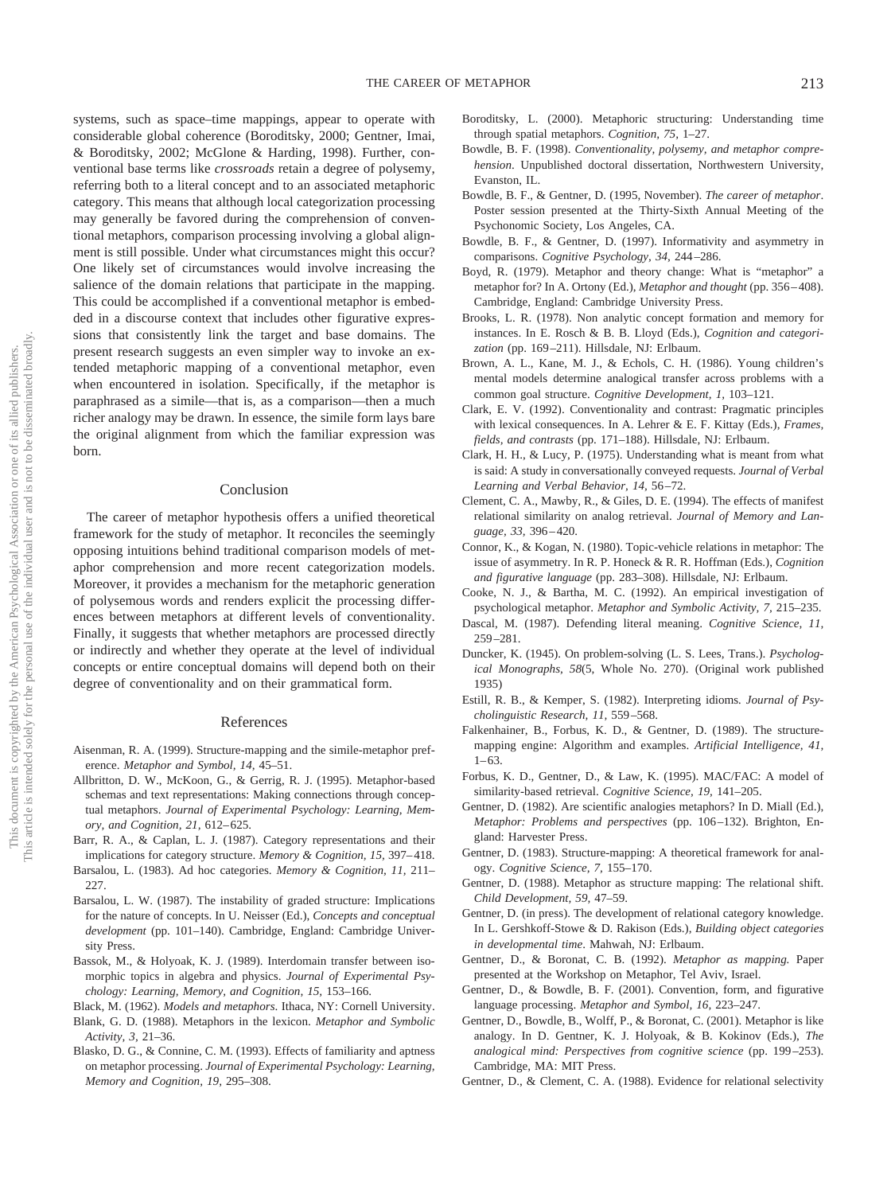systems, such as space–time mappings, appear to operate with considerable global coherence (Boroditsky, 2000; Gentner, Imai, & Boroditsky, 2002; McGlone & Harding, 1998). Further, conventional base terms like *crossroads* retain a degree of polysemy, referring both to a literal concept and to an associated metaphoric category. This means that although local categorization processing may generally be favored during the comprehension of conventional metaphors, comparison processing involving a global alignment is still possible. Under what circumstances might this occur? One likely set of circumstances would involve increasing the salience of the domain relations that participate in the mapping. This could be accomplished if a conventional metaphor is embedded in a discourse context that includes other figurative expressions that consistently link the target and base domains. The present research suggests an even simpler way to invoke an extended metaphoric mapping of a conventional metaphor, even when encountered in isolation. Specifically, if the metaphor is paraphrased as a simile—that is, as a comparison—then a much richer analogy may be drawn. In essence, the simile form lays bare the original alignment from which the familiar expression was born.

#### Conclusion

The career of metaphor hypothesis offers a unified theoretical framework for the study of metaphor. It reconciles the seemingly opposing intuitions behind traditional comparison models of metaphor comprehension and more recent categorization models. Moreover, it provides a mechanism for the metaphoric generation of polysemous words and renders explicit the processing differences between metaphors at different levels of conventionality. Finally, it suggests that whether metaphors are processed directly or indirectly and whether they operate at the level of individual concepts or entire conceptual domains will depend both on their degree of conventionality and on their grammatical form.

#### References

- Aisenman, R. A. (1999). Structure-mapping and the simile-metaphor preference. *Metaphor and Symbol, 14,* 45–51.
- Allbritton, D. W., McKoon, G., & Gerrig, R. J. (1995). Metaphor-based schemas and text representations: Making connections through conceptual metaphors. *Journal of Experimental Psychology: Learning, Memory, and Cognition, 21,* 612– 625.
- Barr, R. A., & Caplan, L. J. (1987). Category representations and their implications for category structure. *Memory & Cognition, 15, 397-418*.
- Barsalou, L. (1983). Ad hoc categories. *Memory & Cognition, 11,* 211– 227.
- Barsalou, L. W. (1987). The instability of graded structure: Implications for the nature of concepts. In U. Neisser (Ed.), *Concepts and conceptual development* (pp. 101–140). Cambridge, England: Cambridge University Press.
- Bassok, M., & Holyoak, K. J. (1989). Interdomain transfer between isomorphic topics in algebra and physics. *Journal of Experimental Psychology: Learning, Memory, and Cognition, 15,* 153–166.
- Black, M. (1962). *Models and metaphors*. Ithaca, NY: Cornell University.
- Blank, G. D. (1988). Metaphors in the lexicon. *Metaphor and Symbolic Activity, 3,* 21–36.
- Blasko, D. G., & Connine, C. M. (1993). Effects of familiarity and aptness on metaphor processing. *Journal of Experimental Psychology: Learning, Memory and Cognition, 19,* 295–308.
- Boroditsky, L. (2000). Metaphoric structuring: Understanding time through spatial metaphors. *Cognition, 75,* 1–27.
- Bowdle, B. F. (1998). *Conventionality, polysemy, and metaphor comprehension*. Unpublished doctoral dissertation, Northwestern University, Evanston, IL.
- Bowdle, B. F., & Gentner, D. (1995, November). *The career of metaphor*. Poster session presented at the Thirty-Sixth Annual Meeting of the Psychonomic Society, Los Angeles, CA.
- Bowdle, B. F., & Gentner, D. (1997). Informativity and asymmetry in comparisons. *Cognitive Psychology, 34,* 244 –286.
- Boyd, R. (1979). Metaphor and theory change: What is "metaphor" a metaphor for? In A. Ortony (Ed.), *Metaphor and thought* (pp. 356 – 408). Cambridge, England: Cambridge University Press.
- Brooks, L. R. (1978). Non analytic concept formation and memory for instances. In E. Rosch & B. B. Lloyd (Eds.), *Cognition and categorization* (pp. 169 –211). Hillsdale, NJ: Erlbaum.
- Brown, A. L., Kane, M. J., & Echols, C. H. (1986). Young children's mental models determine analogical transfer across problems with a common goal structure. *Cognitive Development, 1,* 103–121.
- Clark, E. V. (1992). Conventionality and contrast: Pragmatic principles with lexical consequences. In A. Lehrer & E. F. Kittay (Eds.), *Frames, fields, and contrasts* (pp. 171–188). Hillsdale, NJ: Erlbaum.
- Clark, H. H., & Lucy, P. (1975). Understanding what is meant from what is said: A study in conversationally conveyed requests. *Journal of Verbal Learning and Verbal Behavior, 14,* 56 –72.
- Clement, C. A., Mawby, R., & Giles, D. E. (1994). The effects of manifest relational similarity on analog retrieval. *Journal of Memory and Language, 33,* 396 – 420.
- Connor, K., & Kogan, N. (1980). Topic-vehicle relations in metaphor: The issue of asymmetry. In R. P. Honeck & R. R. Hoffman (Eds.), *Cognition and figurative language* (pp. 283–308). Hillsdale, NJ: Erlbaum.
- Cooke, N. J., & Bartha, M. C. (1992). An empirical investigation of psychological metaphor. *Metaphor and Symbolic Activity, 7,* 215–235.
- Dascal, M. (1987). Defending literal meaning. *Cognitive Science, 11,* 259 –281.
- Duncker, K. (1945). On problem-solving (L. S. Lees, Trans.). *Psychological Monographs, 58*(5, Whole No. 270). (Original work published 1935)
- Estill, R. B., & Kemper, S. (1982). Interpreting idioms*. Journal of Psycholinguistic Research, 11,* 559 –568.
- Falkenhainer, B., Forbus, K. D., & Gentner, D. (1989). The structuremapping engine: Algorithm and examples. *Artificial Intelligence, 41,*  $1 - 63$
- Forbus, K. D., Gentner, D., & Law, K. (1995). MAC/FAC: A model of similarity-based retrieval. *Cognitive Science, 19,* 141–205.
- Gentner, D. (1982). Are scientific analogies metaphors? In D. Miall (Ed.), *Metaphor: Problems and perspectives* (pp. 106 –132). Brighton, England: Harvester Press.
- Gentner, D. (1983). Structure-mapping: A theoretical framework for analogy. *Cognitive Science, 7,* 155–170.
- Gentner, D. (1988). Metaphor as structure mapping: The relational shift. *Child Development, 59,* 47–59.
- Gentner, D. (in press). The development of relational category knowledge. In L. Gershkoff-Stowe & D. Rakison (Eds.), *Building object categories in developmental time*. Mahwah, NJ: Erlbaum.
- Gentner, D., & Boronat, C. B. (1992). *Metaphor as mapping.* Paper presented at the Workshop on Metaphor, Tel Aviv, Israel.
- Gentner, D., & Bowdle, B. F. (2001). Convention, form, and figurative language processing. *Metaphor and Symbol, 16,* 223–247.
- Gentner, D., Bowdle, B., Wolff, P., & Boronat, C. (2001). Metaphor is like analogy. In D. Gentner, K. J. Holyoak, & B. Kokinov (Eds.), *The analogical mind: Perspectives from cognitive science* (pp. 199 –253). Cambridge, MA: MIT Press.
- Gentner, D., & Clement, C. A. (1988). Evidence for relational selectivity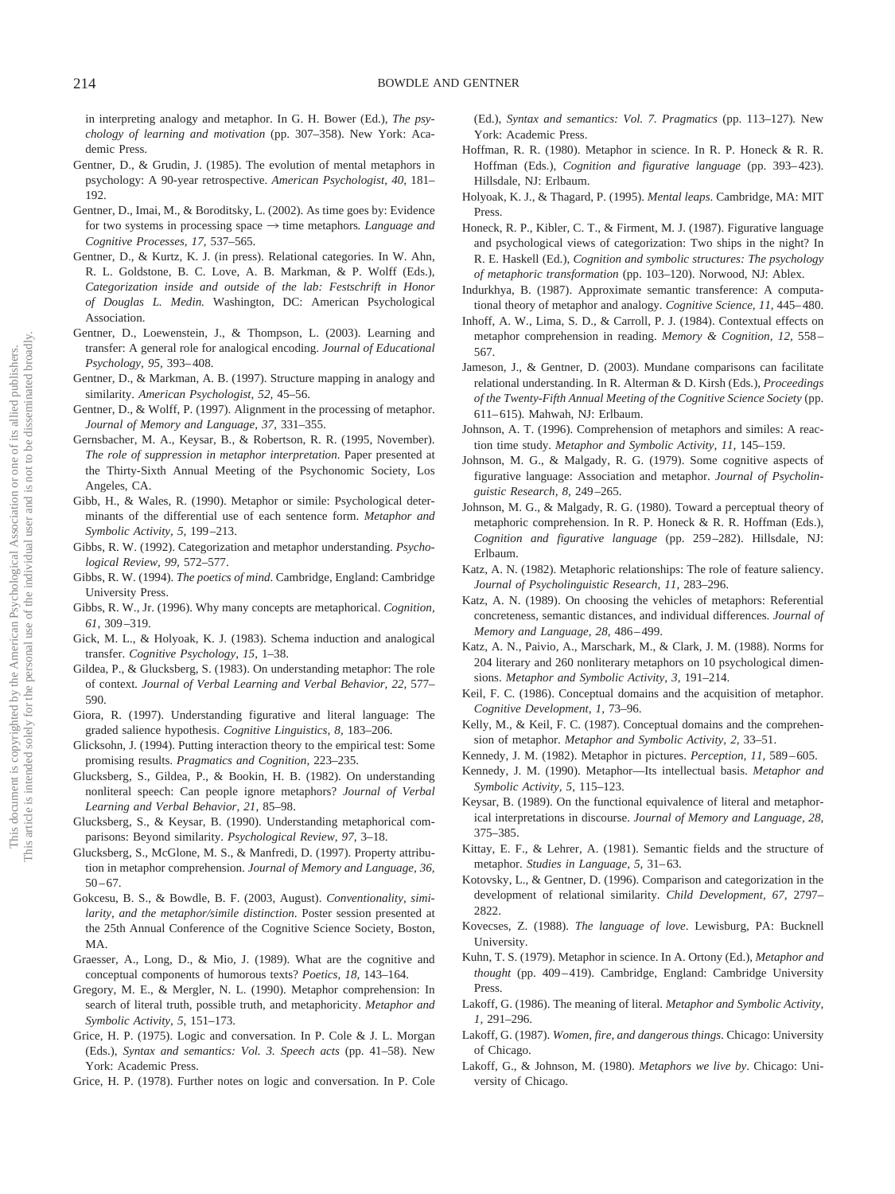in interpreting analogy and metaphor. In G. H. Bower (Ed.), *The psychology of learning and motivation* (pp. 307–358). New York: Academic Press.

- Gentner, D., & Grudin, J. (1985). The evolution of mental metaphors in psychology: A 90-year retrospective. *American Psychologist, 40,* 181– 192.
- Gentner, D., Imai, M., & Boroditsky, L. (2002). As time goes by: Evidence for two systems in processing space  $\rightarrow$  time metaphors. *Language and Cognitive Processes, 17,* 537–565.
- Gentner, D., & Kurtz, K. J. (in press). Relational categories. In W. Ahn, R. L. Goldstone, B. C. Love, A. B. Markman, & P. Wolff (Eds.), *Categorization inside and outside of the lab: Festschrift in Honor of Douglas L. Medin.* Washington, DC: American Psychological Association.
- Gentner, D., Loewenstein, J., & Thompson, L. (2003). Learning and transfer: A general role for analogical encoding. *Journal of Educational Psychology, 95,* 393– 408.
- Gentner, D., & Markman, A. B. (1997). Structure mapping in analogy and similarity. *American Psychologist, 52,* 45–56.
- Gentner, D., & Wolff, P. (1997). Alignment in the processing of metaphor. *Journal of Memory and Language, 37,* 331–355.
- Gernsbacher, M. A., Keysar, B., & Robertson, R. R. (1995, November). *The role of suppression in metaphor interpretation*. Paper presented at the Thirty-Sixth Annual Meeting of the Psychonomic Society, Los Angeles, CA.
- Gibb, H., & Wales, R. (1990). Metaphor or simile: Psychological determinants of the differential use of each sentence form. *Metaphor and Symbolic Activity, 5,* 199 –213.
- Gibbs, R. W. (1992). Categorization and metaphor understanding. *Psychological Review, 99,* 572–577.
- Gibbs, R. W. (1994). *The poetics of mind*. Cambridge, England: Cambridge University Press.
- Gibbs, R. W., Jr. (1996). Why many concepts are metaphorical. *Cognition, 61,* 309 –319.
- Gick, M. L., & Holyoak, K. J. (1983). Schema induction and analogical transfer. *Cognitive Psychology, 15,* 1–38.
- Gildea, P., & Glucksberg, S. (1983). On understanding metaphor: The role of context*. Journal of Verbal Learning and Verbal Behavior, 22,* 577– 590.
- Giora, R. (1997). Understanding figurative and literal language: The graded salience hypothesis. *Cognitive Linguistics, 8,* 183–206.
- Glicksohn, J. (1994). Putting interaction theory to the empirical test: Some promising results. *Pragmatics and Cognition,* 223–235.
- Glucksberg, S., Gildea, P., & Bookin, H. B. (1982). On understanding nonliteral speech: Can people ignore metaphors? *Journal of Verbal Learning and Verbal Behavior, 21,* 85–98.
- Glucksberg, S., & Keysar, B. (1990). Understanding metaphorical comparisons: Beyond similarity. *Psychological Review, 97,* 3–18.
- Glucksberg, S., McGlone, M. S., & Manfredi, D. (1997). Property attribution in metaphor comprehension. *Journal of Memory and Language, 36,*  $50 - 67$ .
- Gokcesu, B. S., & Bowdle, B. F. (2003, August). *Conventionality, similarity, and the metaphor/simile distinction*. Poster session presented at the 25th Annual Conference of the Cognitive Science Society, Boston, MA.
- Graesser, A., Long, D., & Mio, J. (1989). What are the cognitive and conceptual components of humorous texts? *Poetics, 18,* 143–164.
- Gregory, M. E., & Mergler, N. L. (1990). Metaphor comprehension: In search of literal truth, possible truth, and metaphoricity. *Metaphor and Symbolic Activity, 5,* 151–173.
- Grice, H. P. (1975). Logic and conversation. In P. Cole & J. L. Morgan (Eds.), *Syntax and semantics: Vol. 3. Speech acts* (pp. 41–58). New York: Academic Press.
- Grice, H. P. (1978). Further notes on logic and conversation. In P. Cole

(Ed.), *Syntax and semantics: Vol. 7. Pragmatics* (pp. 113–127)*.* New York: Academic Press.

- Hoffman, R. R. (1980). Metaphor in science. In R. P. Honeck & R. R. Hoffman (Eds.), *Cognition and figurative language* (pp. 393-423). Hillsdale, NJ: Erlbaum.
- Holyoak, K. J., & Thagard, P. (1995). *Mental leaps*. Cambridge, MA: MIT Press.
- Honeck, R. P., Kibler, C. T., & Firment, M. J. (1987). Figurative language and psychological views of categorization: Two ships in the night? In R. E. Haskell (Ed.), *Cognition and symbolic structures: The psychology of metaphoric transformation* (pp. 103–120). Norwood, NJ: Ablex.
- Indurkhya, B. (1987). Approximate semantic transference: A computational theory of metaphor and analogy. *Cognitive Science*, 11, 445-480.
- Inhoff, A. W., Lima, S. D., & Carroll, P. J. (1984). Contextual effects on metaphor comprehension in reading. *Memory & Cognition, 12,* 558 – 567.
- Jameson, J., & Gentner, D. (2003). Mundane comparisons can facilitate relational understanding. In R. Alterman & D. Kirsh (Eds.), *Proceedings of the Twenty-Fifth Annual Meeting of the Cognitive Science Society* (pp. 611– 615)*.* Mahwah, NJ: Erlbaum.
- Johnson, A. T. (1996). Comprehension of metaphors and similes: A reaction time study. *Metaphor and Symbolic Activity, 11,* 145–159.
- Johnson, M. G., & Malgady, R. G. (1979). Some cognitive aspects of figurative language: Association and metaphor. *Journal of Psycholinguistic Research, 8,* 249 –265.
- Johnson, M. G., & Malgady, R. G. (1980). Toward a perceptual theory of metaphoric comprehension. In R. P. Honeck & R. R. Hoffman (Eds.), *Cognition and figurative language* (pp. 259 –282). Hillsdale, NJ: Erlbaum.
- Katz, A. N. (1982). Metaphoric relationships: The role of feature saliency. *Journal of Psycholinguistic Research, 11,* 283–296.
- Katz, A. N. (1989). On choosing the vehicles of metaphors: Referential concreteness, semantic distances, and individual differences. *Journal of Memory and Language, 28,* 486 – 499.
- Katz, A. N., Paivio, A., Marschark, M., & Clark, J. M. (1988). Norms for 204 literary and 260 nonliterary metaphors on 10 psychological dimensions. *Metaphor and Symbolic Activity, 3,* 191–214.
- Keil, F. C. (1986). Conceptual domains and the acquisition of metaphor. *Cognitive Development, 1,* 73–96.
- Kelly, M., & Keil, F. C. (1987). Conceptual domains and the comprehension of metaphor. *Metaphor and Symbolic Activity, 2,* 33–51.
- Kennedy, J. M. (1982). Metaphor in pictures. *Perception, 11*, 589-605.
- Kennedy, J. M. (1990). Metaphor—Its intellectual basis. *Metaphor and Symbolic Activity, 5,* 115–123.
- Keysar, B. (1989). On the functional equivalence of literal and metaphorical interpretations in discourse. *Journal of Memory and Language, 28,* 375–385.
- Kittay, E. F., & Lehrer, A. (1981). Semantic fields and the structure of metaphor. *Studies in Language*, 5, 31-63.
- Kotovsky, L., & Gentner, D. (1996). Comparison and categorization in the development of relational similarity. *Child Development, 67,* 2797– 2822.
- Kovecses, Z. (1988). *The language of love*. Lewisburg, PA: Bucknell University.
- Kuhn, T. S. (1979). Metaphor in science. In A. Ortony (Ed.), *Metaphor and thought* (pp. 409 – 419). Cambridge, England: Cambridge University Press.
- Lakoff, G. (1986). The meaning of literal. *Metaphor and Symbolic Activity, 1,* 291–296.
- Lakoff, G. (1987). *Women, fire, and dangerous things*. Chicago: University of Chicago.
- Lakoff, G., & Johnson, M. (1980). *Metaphors we live by*. Chicago: University of Chicago.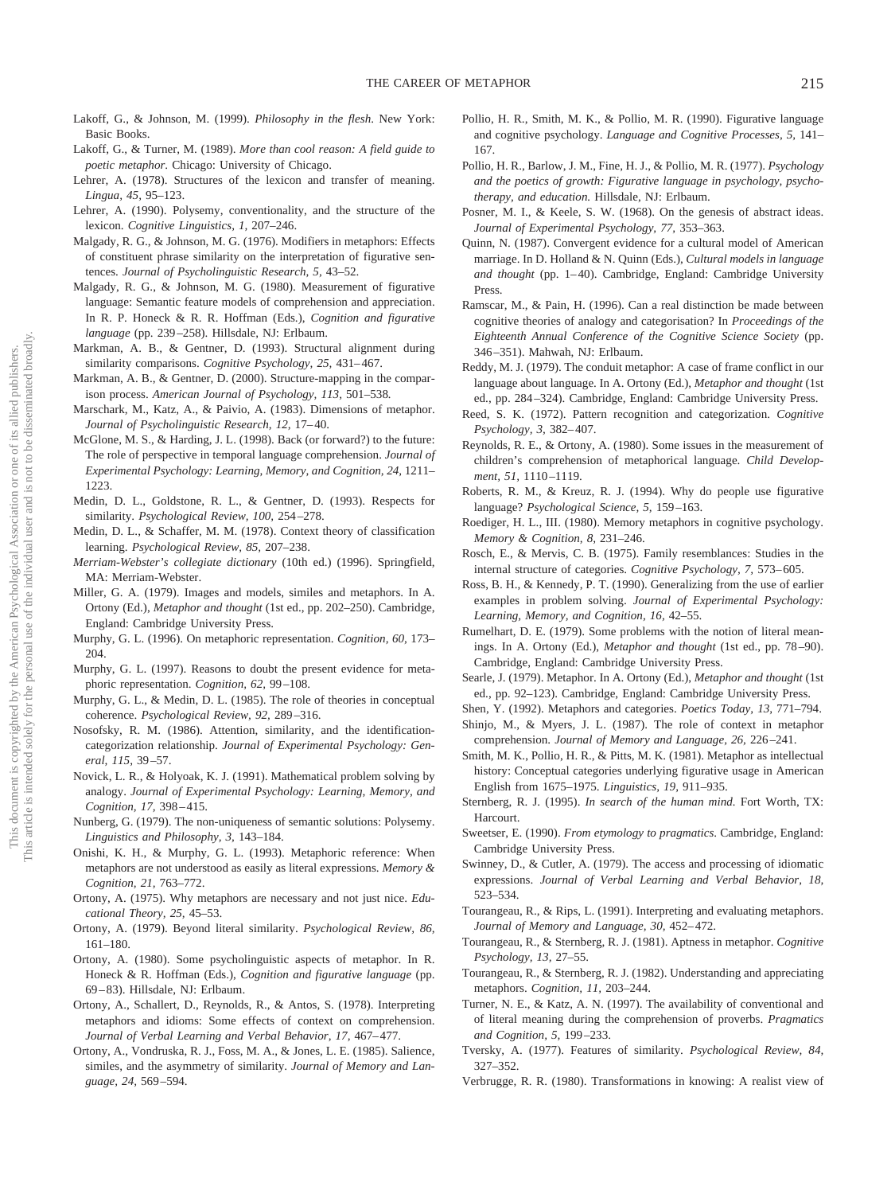- Lakoff, G., & Johnson, M. (1999). *Philosophy in the flesh*. New York: Basic Books.
- Lakoff, G., & Turner, M. (1989). *More than cool reason: A field guide to poetic metaphor*. Chicago: University of Chicago.
- Lehrer, A. (1978). Structures of the lexicon and transfer of meaning. *Lingua, 45,* 95–123.
- Lehrer, A. (1990). Polysemy, conventionality, and the structure of the lexicon. *Cognitive Linguistics, 1,* 207–246.
- Malgady, R. G., & Johnson, M. G. (1976). Modifiers in metaphors: Effects of constituent phrase similarity on the interpretation of figurative sentences. *Journal of Psycholinguistic Research, 5,* 43–52.
- Malgady, R. G., & Johnson, M. G. (1980). Measurement of figurative language: Semantic feature models of comprehension and appreciation. In R. P. Honeck & R. R. Hoffman (Eds.), *Cognition and figurative language* (pp. 239 –258). Hillsdale, NJ: Erlbaum.
- Markman, A. B., & Gentner, D. (1993). Structural alignment during similarity comparisons. *Cognitive Psychology*, 25, 431-467.
- Markman, A. B., & Gentner, D. (2000). Structure-mapping in the comparison process. *American Journal of Psychology, 113,* 501–538*.*
- Marschark, M., Katz, A., & Paivio, A. (1983). Dimensions of metaphor. *Journal of Psycholinguistic Research, 12,* 17– 40.
- McGlone, M. S., & Harding, J. L. (1998). Back (or forward?) to the future: The role of perspective in temporal language comprehension. *Journal of Experimental Psychology: Learning, Memory, and Cognition, 24,* 1211– 1223.
- Medin, D. L., Goldstone, R. L., & Gentner, D. (1993). Respects for similarity. *Psychological Review, 100,* 254 –278.
- Medin, D. L., & Schaffer, M. M. (1978). Context theory of classification learning. *Psychological Review, 85,* 207–238.
- *Merriam-Webster's collegiate dictionary* (10th ed.) (1996). Springfield, MA: Merriam-Webster.
- Miller, G. A. (1979). Images and models, similes and metaphors. In A. Ortony (Ed.), *Metaphor and thought* (1st ed., pp. 202–250). Cambridge, England: Cambridge University Press.
- Murphy, G. L. (1996). On metaphoric representation. *Cognition, 60,* 173– 204.
- Murphy, G. L. (1997). Reasons to doubt the present evidence for metaphoric representation. *Cognition, 62,* 99 –108.
- Murphy, G. L., & Medin, D. L. (1985). The role of theories in conceptual coherence. *Psychological Review, 92,* 289 –316.
- Nosofsky, R. M. (1986). Attention, similarity, and the identificationcategorization relationship. *Journal of Experimental Psychology: General, 115,* 39 –57.
- Novick, L. R., & Holyoak, K. J. (1991). Mathematical problem solving by analogy. *Journal of Experimental Psychology: Learning, Memory, and Cognition, 17,* 398 – 415.
- Nunberg, G. (1979). The non-uniqueness of semantic solutions: Polysemy. *Linguistics and Philosophy, 3,* 143–184.
- Onishi, K. H., & Murphy, G. L. (1993). Metaphoric reference: When metaphors are not understood as easily as literal expressions. *Memory & Cognition, 21,* 763–772.
- Ortony, A. (1975). Why metaphors are necessary and not just nice. *Educational Theory, 25,* 45–53.
- Ortony, A. (1979). Beyond literal similarity. *Psychological Review, 86,* 161–180.
- Ortony, A. (1980). Some psycholinguistic aspects of metaphor. In R. Honeck & R. Hoffman (Eds.), *Cognition and figurative language* (pp. 69 – 83). Hillsdale, NJ: Erlbaum.
- Ortony, A., Schallert, D., Reynolds, R., & Antos, S. (1978). Interpreting metaphors and idioms: Some effects of context on comprehension. Journal of Verbal Learning and Verbal Behavior, 17, 467-477.
- Ortony, A., Vondruska, R. J., Foss, M. A., & Jones, L. E. (1985). Salience, similes, and the asymmetry of similarity. *Journal of Memory and Language, 24,* 569 –594.
- Pollio, H. R., Smith, M. K., & Pollio, M. R. (1990). Figurative language and cognitive psychology. *Language and Cognitive Processes, 5,* 141– 167.
- Pollio, H. R., Barlow, J. M., Fine, H. J., & Pollio, M. R. (1977). *Psychology and the poetics of growth: Figurative language in psychology, psychotherapy, and education.* Hillsdale, NJ: Erlbaum.
- Posner, M. I., & Keele, S. W. (1968). On the genesis of abstract ideas. *Journal of Experimental Psychology, 77,* 353–363.
- Quinn, N. (1987). Convergent evidence for a cultural model of American marriage. In D. Holland & N. Quinn (Eds.), *Cultural models in language* and thought (pp. 1-40). Cambridge, England: Cambridge University Press.
- Ramscar, M., & Pain, H. (1996). Can a real distinction be made between cognitive theories of analogy and categorisation? In *Proceedings of the Eighteenth Annual Conference of the Cognitive Science Society* (pp. 346 –351). Mahwah, NJ: Erlbaum.
- Reddy, M. J. (1979). The conduit metaphor: A case of frame conflict in our language about language. In A. Ortony (Ed.), *Metaphor and thought* (1st ed., pp. 284 –324). Cambridge, England: Cambridge University Press.
- Reed, S. K. (1972). Pattern recognition and categorization. *Cognitive Psychology, 3,* 382– 407.
- Reynolds, R. E., & Ortony, A. (1980). Some issues in the measurement of children's comprehension of metaphorical language. *Child Development, 51,* 1110 –1119.
- Roberts, R. M., & Kreuz, R. J. (1994). Why do people use figurative language? *Psychological Science, 5,* 159 –163.
- Roediger, H. L., III. (1980). Memory metaphors in cognitive psychology. *Memory & Cognition, 8,* 231–246.
- Rosch, E., & Mervis, C. B. (1975). Family resemblances: Studies in the internal structure of categories. *Cognitive Psychology, 7,* 573– 605.
- Ross, B. H., & Kennedy, P. T. (1990). Generalizing from the use of earlier examples in problem solving. *Journal of Experimental Psychology: Learning, Memory, and Cognition, 16,* 42–55.
- Rumelhart, D. E. (1979). Some problems with the notion of literal meanings. In A. Ortony (Ed.), *Metaphor and thought* (1st ed., pp. 78 –90). Cambridge, England: Cambridge University Press.
- Searle, J. (1979). Metaphor. In A. Ortony (Ed.), *Metaphor and thought* (1st ed., pp. 92–123). Cambridge, England: Cambridge University Press.
- Shen, Y. (1992). Metaphors and categories. *Poetics Today, 13,* 771–794.
- Shinjo, M., & Myers, J. L. (1987). The role of context in metaphor comprehension. *Journal of Memory and Language, 26,* 226 –241.
- Smith, M. K., Pollio, H. R., & Pitts, M. K. (1981). Metaphor as intellectual history: Conceptual categories underlying figurative usage in American English from 1675–1975. *Linguistics, 19,* 911–935.
- Sternberg, R. J. (1995). *In search of the human mind.* Fort Worth, TX: Harcourt.
- Sweetser, E. (1990). *From etymology to pragmatics*. Cambridge, England: Cambridge University Press.
- Swinney, D., & Cutler, A. (1979). The access and processing of idiomatic expressions. *Journal of Verbal Learning and Verbal Behavior, 18,* 523–534.
- Tourangeau, R., & Rips, L. (1991). Interpreting and evaluating metaphors. *Journal of Memory and Language, 30,* 452– 472.
- Tourangeau, R., & Sternberg, R. J. (1981). Aptness in metaphor. *Cognitive Psychology, 13,* 27–55.
- Tourangeau, R., & Sternberg, R. J. (1982). Understanding and appreciating metaphors. *Cognition, 11,* 203–244.
- Turner, N. E., & Katz, A. N. (1997). The availability of conventional and of literal meaning during the comprehension of proverbs. *Pragmatics and Cognition, 5,* 199 –233.
- Tversky, A. (1977). Features of similarity. *Psychological Review, 84,* 327–352.
- Verbrugge, R. R. (1980). Transformations in knowing: A realist view of